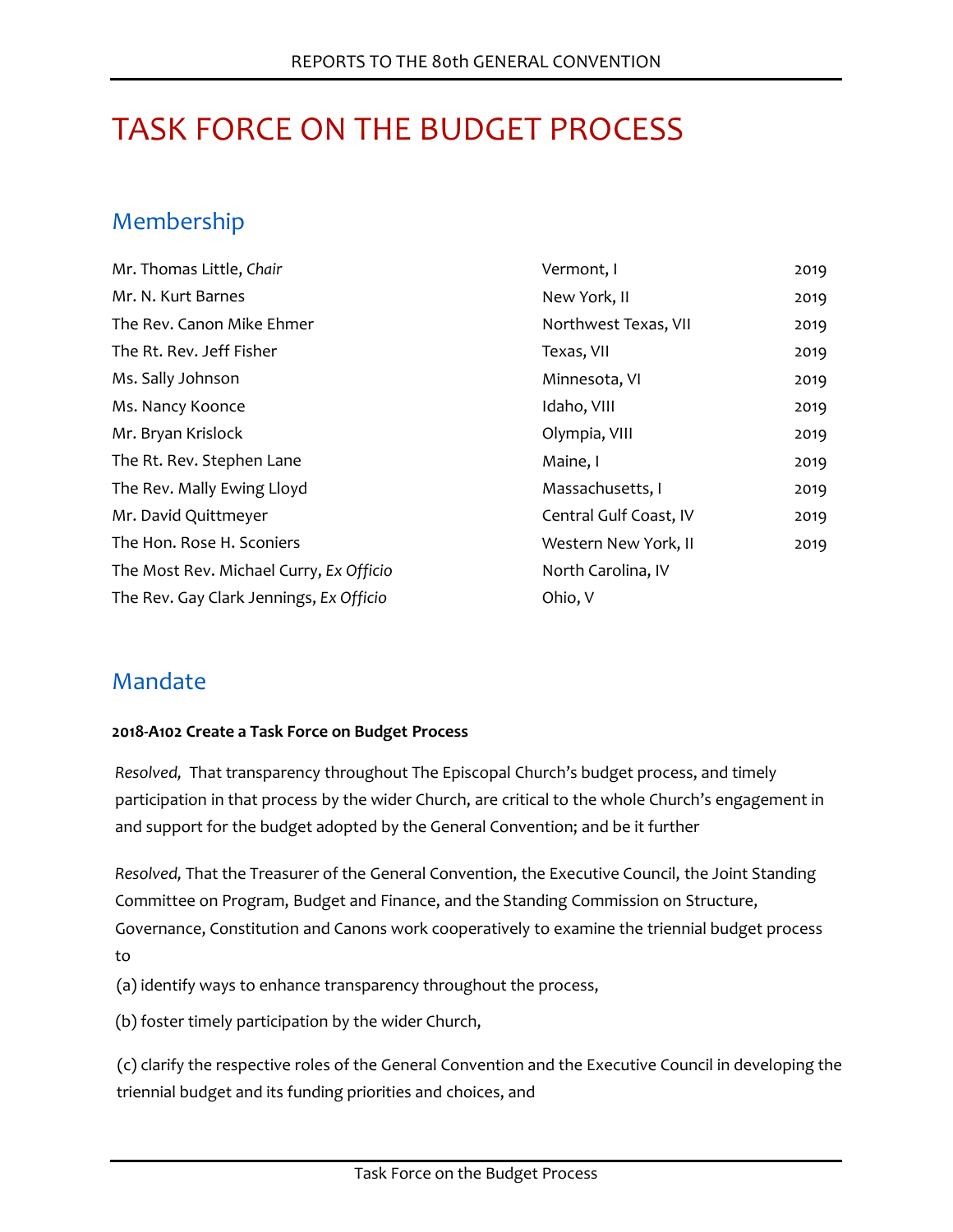# TASK FORCE ON THE BUDGET PROCESS

## Membership

| Mr. Thomas Little, Chair                | Vermont, I             | 2019 |
|-----------------------------------------|------------------------|------|
| Mr. N. Kurt Barnes                      | New York, II           | 2019 |
| The Rev. Canon Mike Ehmer               | Northwest Texas, VII   | 2019 |
| The Rt. Rev. Jeff Fisher                | Texas, VII             | 2019 |
| Ms. Sally Johnson                       | Minnesota, VI          | 2019 |
| Ms. Nancy Koonce                        | Idaho, VIII            | 2019 |
| Mr. Bryan Krislock                      | Olympia, VIII          | 2019 |
| The Rt. Rev. Stephen Lane               | Maine, I               | 2019 |
| The Rev. Mally Ewing Lloyd              | Massachusetts, I       | 2019 |
| Mr. David Quittmeyer                    | Central Gulf Coast, IV | 2019 |
| The Hon. Rose H. Sconiers               | Western New York, II   | 2019 |
| The Most Rev. Michael Curry, Ex Officio | North Carolina, IV     |      |
| The Rev. Gay Clark Jennings, Ex Officio | Ohio, V                |      |

## Mandate

## **2018-A102 Create a Task Force on Budget Process**

*Resolved,* That transparency throughout The Episcopal Church's budget process, and timely participation in that process by the wider Church, are critical to the whole Church's engagement in and support for the budget adopted by the General Convention; and be it further

*Resolved,* That the Treasurer of the General Convention, the Executive Council, the Joint Standing Committee on Program, Budget and Finance, and the Standing Commission on Structure, Governance, Constitution and Canons work cooperatively to examine the triennial budget process to

(a) identify ways to enhance transparency throughout the process,

(b) foster timely participation by the wider Church,

(c) clarify the respective roles of the General Convention and the Executive Council in developing the triennial budget and its funding priorities and choices, and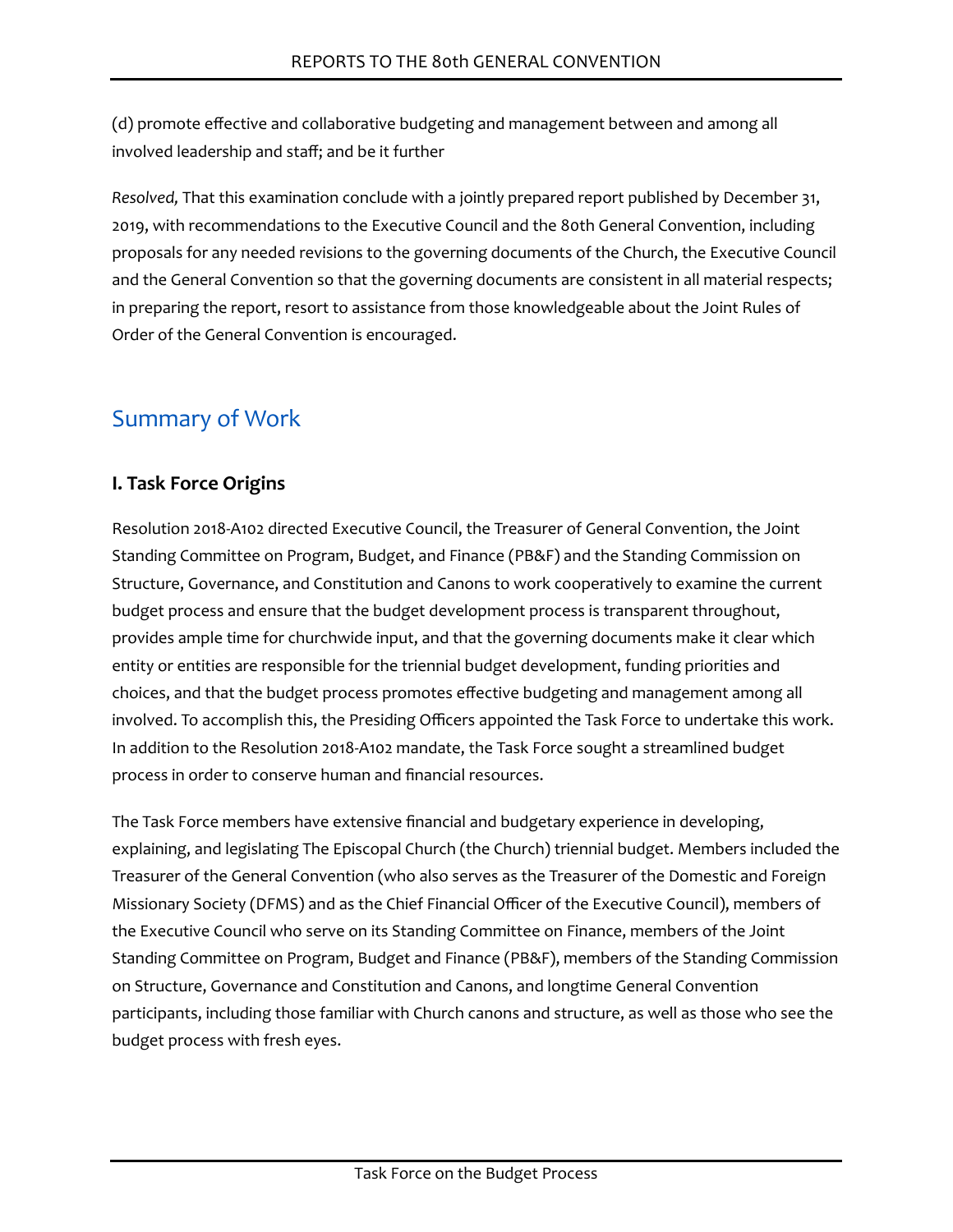(d) promote effective and collaborative budgeting and management between and among all involved leadership and staff; and be it further

*Resolved,* That this examination conclude with a jointly prepared report published by December 31, 2019, with recommendations to the Executive Council and the 80th General Convention, including proposals for any needed revisions to the governing documents of the Church, the Executive Council and the General Convention so that the governing documents are consistent in all material respects; in preparing the report, resort to assistance from those knowledgeable about the Joint Rules of Order of the General Convention is encouraged.

## Summary of Work

## **I. Task Force Origins**

Resolution 2018-A102 directed Executive Council, the Treasurer of General Convention, the Joint Standing Committee on Program, Budget, and Finance (PB&F) and the Standing Commission on Structure, Governance, and Constitution and Canons to work cooperatively to examine the current budget process and ensure that the budget development process is transparent throughout, provides ample time for churchwide input, and that the governing documents make it clear which entity or entities are responsible for the triennial budget development, funding priorities and choices, and that the budget process promotes effective budgeting and management among all involved. To accomplish this, the Presiding Officers appointed the Task Force to undertake this work. In addition to the Resolution 2018-A102 mandate, the Task Force sought a streamlined budget process in order to conserve human and financial resources.

The Task Force members have extensive financial and budgetary experience in developing, explaining, and legislating The Episcopal Church (the Church) triennial budget. Members included the Treasurer of the General Convention (who also serves as the Treasurer of the Domestic and Foreign Missionary Society (DFMS) and as the Chief Financial Officer of the Executive Council), members of the Executive Council who serve on its Standing Committee on Finance, members of the Joint Standing Committee on Program, Budget and Finance (PB&F), members of the Standing Commission on Structure, Governance and Constitution and Canons, and longtime General Convention participants, including those familiar with Church canons and structure, as well as those who see the budget process with fresh eyes.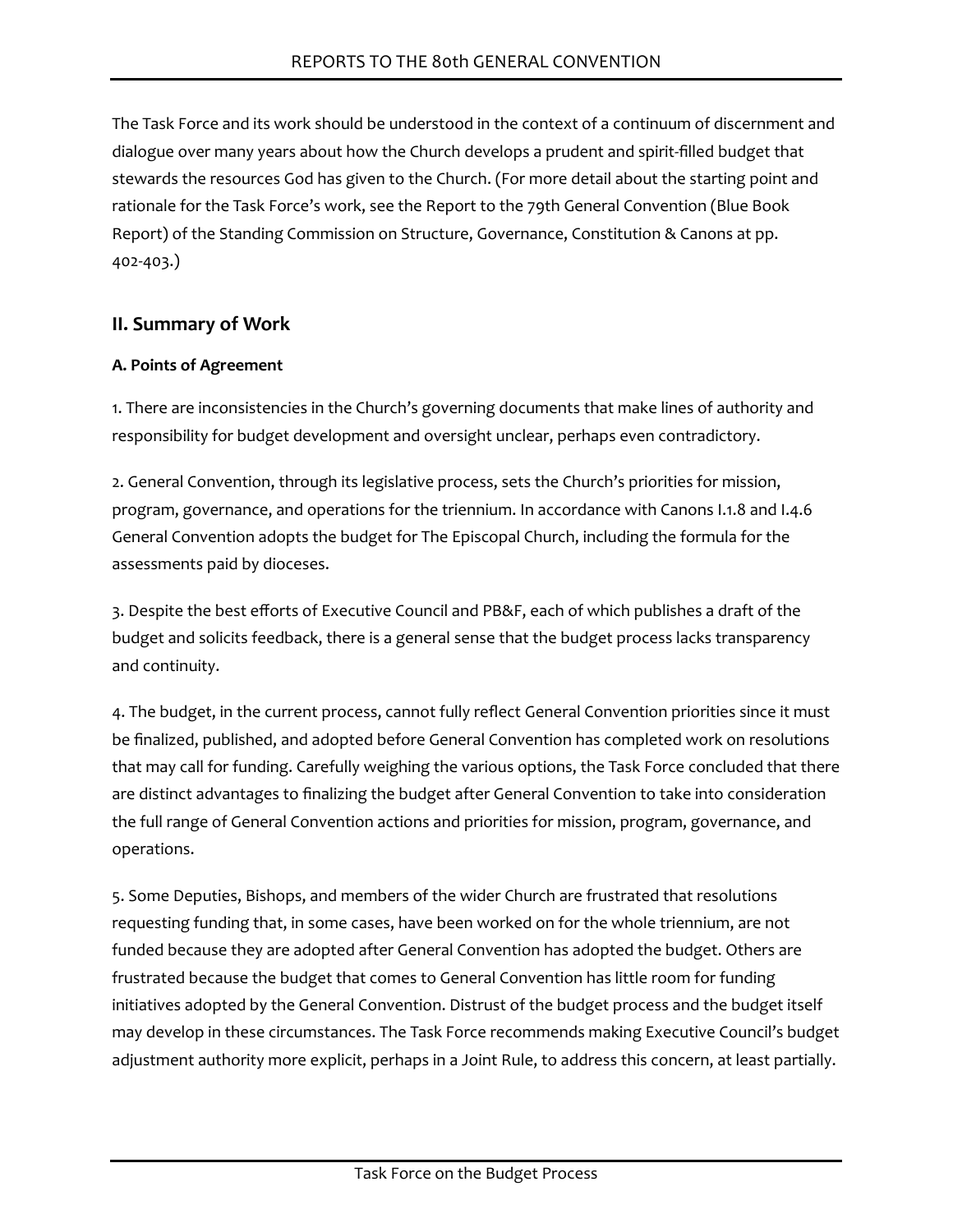The Task Force and its work should be understood in the context of a continuum of discernment and dialogue over many years about how the Church develops a prudent and spirit-filled budget that stewards the resources God has given to the Church. (For more detail about the starting point and rationale for the Task Force's work, see the Report to the 79th General Convention (Blue Book Report) of the Standing Commission on Structure, Governance, Constitution & Canons at pp. 402-403.)

## **II. Summary of Work**

## **A. Points of Agreement**

1. There are inconsistencies in the Church's governing documents that make lines of authority and responsibility for budget development and oversight unclear, perhaps even contradictory.

2. General Convention, through its legislative process, sets the Church's priorities for mission, program, governance, and operations for the triennium. In accordance with Canons I.1.8 and I.4.6 General Convention adopts the budget for The Episcopal Church, including the formula for the assessments paid by dioceses.

3. Despite the best efforts of Executive Council and PB&F, each of which publishes a draft of the budget and solicits feedback, there is a general sense that the budget process lacks transparency and continuity.

4. The budget, in the current process, cannot fully reflect General Convention priorities since it must be finalized, published, and adopted before General Convention has completed work on resolutions that may call for funding. Carefully weighing the various options, the Task Force concluded that there are distinct advantages to finalizing the budget after General Convention to take into consideration the full range of General Convention actions and priorities for mission, program, governance, and operations.

5. Some Deputies, Bishops, and members of the wider Church are frustrated that resolutions requesting funding that, in some cases, have been worked on for the whole triennium, are not funded because they are adopted after General Convention has adopted the budget. Others are frustrated because the budget that comes to General Convention has little room for funding initiatives adopted by the General Convention. Distrust of the budget process and the budget itself may develop in these circumstances. The Task Force recommends making Executive Council's budget adjustment authority more explicit, perhaps in a Joint Rule, to address this concern, at least partially.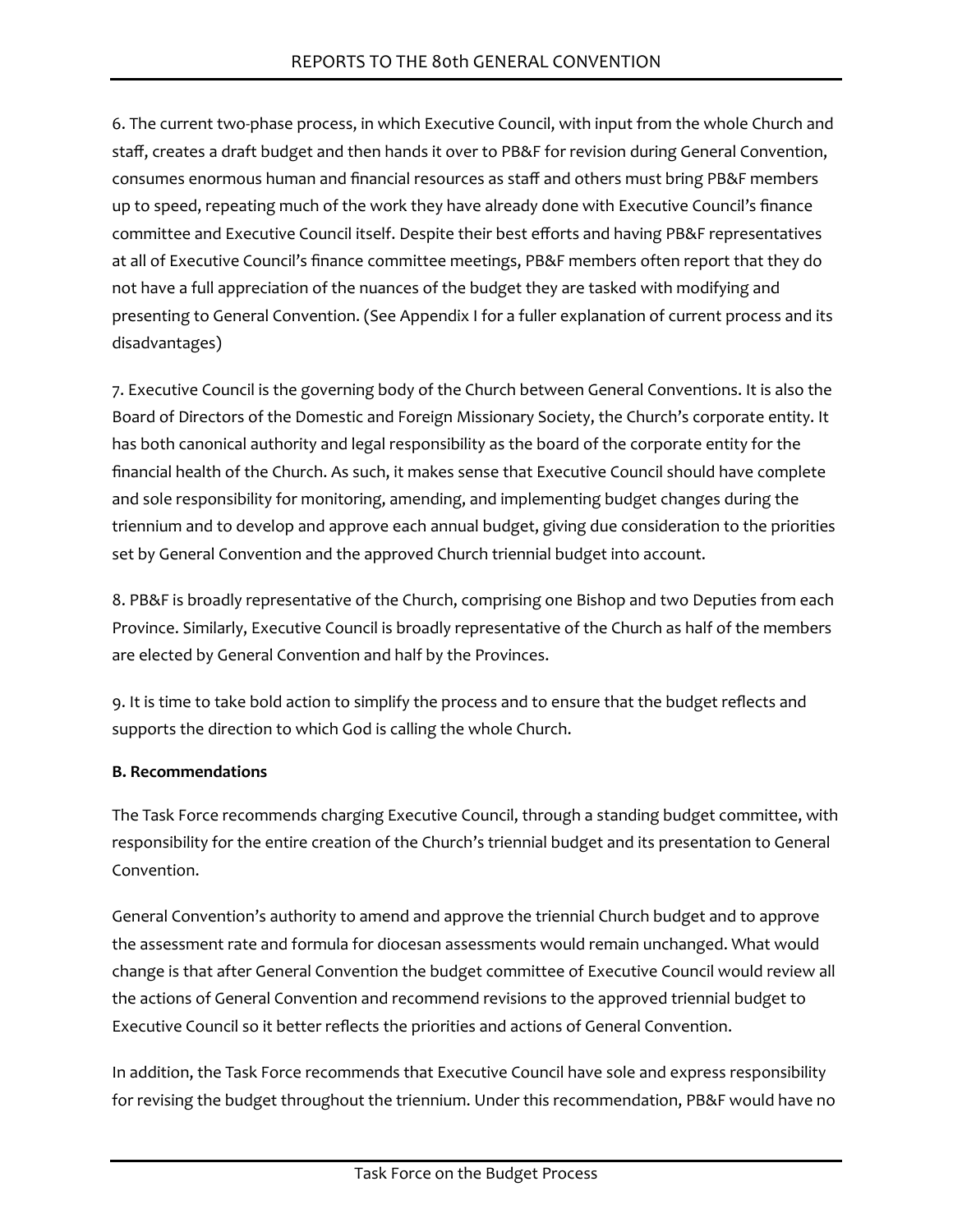6. The current two-phase process, in which Executive Council, with input from the whole Church and staff, creates a draft budget and then hands it over to PB&F for revision during General Convention, consumes enormous human and financial resources as staff and others must bring PB&F members up to speed, repeating much of the work they have already done with Executive Council's finance committee and Executive Council itself. Despite their best efforts and having PB&F representatives at all of Executive Council's finance committee meetings, PB&F members often report that they do not have a full appreciation of the nuances of the budget they are tasked with modifying and presenting to General Convention. (See Appendix I for a fuller explanation of current process and its disadvantages)

7. Executive Council is the governing body of the Church between General Conventions. It is also the Board of Directors of the Domestic and Foreign Missionary Society, the Church's corporate entity. It has both canonical authority and legal responsibility as the board of the corporate entity for the financial health of the Church. As such, it makes sense that Executive Council should have complete and sole responsibility for monitoring, amending, and implementing budget changes during the triennium and to develop and approve each annual budget, giving due consideration to the priorities set by General Convention and the approved Church triennial budget into account.

8. PB&F is broadly representative of the Church, comprising one Bishop and two Deputies from each Province. Similarly, Executive Council is broadly representative of the Church as half of the members are elected by General Convention and half by the Provinces.

9. It is time to take bold action to simplify the process and to ensure that the budget reflects and supports the direction to which God is calling the whole Church.

## **B. Recommendations**

The Task Force recommends charging Executive Council, through a standing budget committee, with responsibility for the entire creation of the Church's triennial budget and its presentation to General Convention.

General Convention's authority to amend and approve the triennial Church budget and to approve the assessment rate and formula for diocesan assessments would remain unchanged. What would change is that after General Convention the budget committee of Executive Council would review all the actions of General Convention and recommend revisions to the approved triennial budget to Executive Council so it better reflects the priorities and actions of General Convention.

In addition, the Task Force recommends that Executive Council have sole and express responsibility for revising the budget throughout the triennium. Under this recommendation, PB&F would have no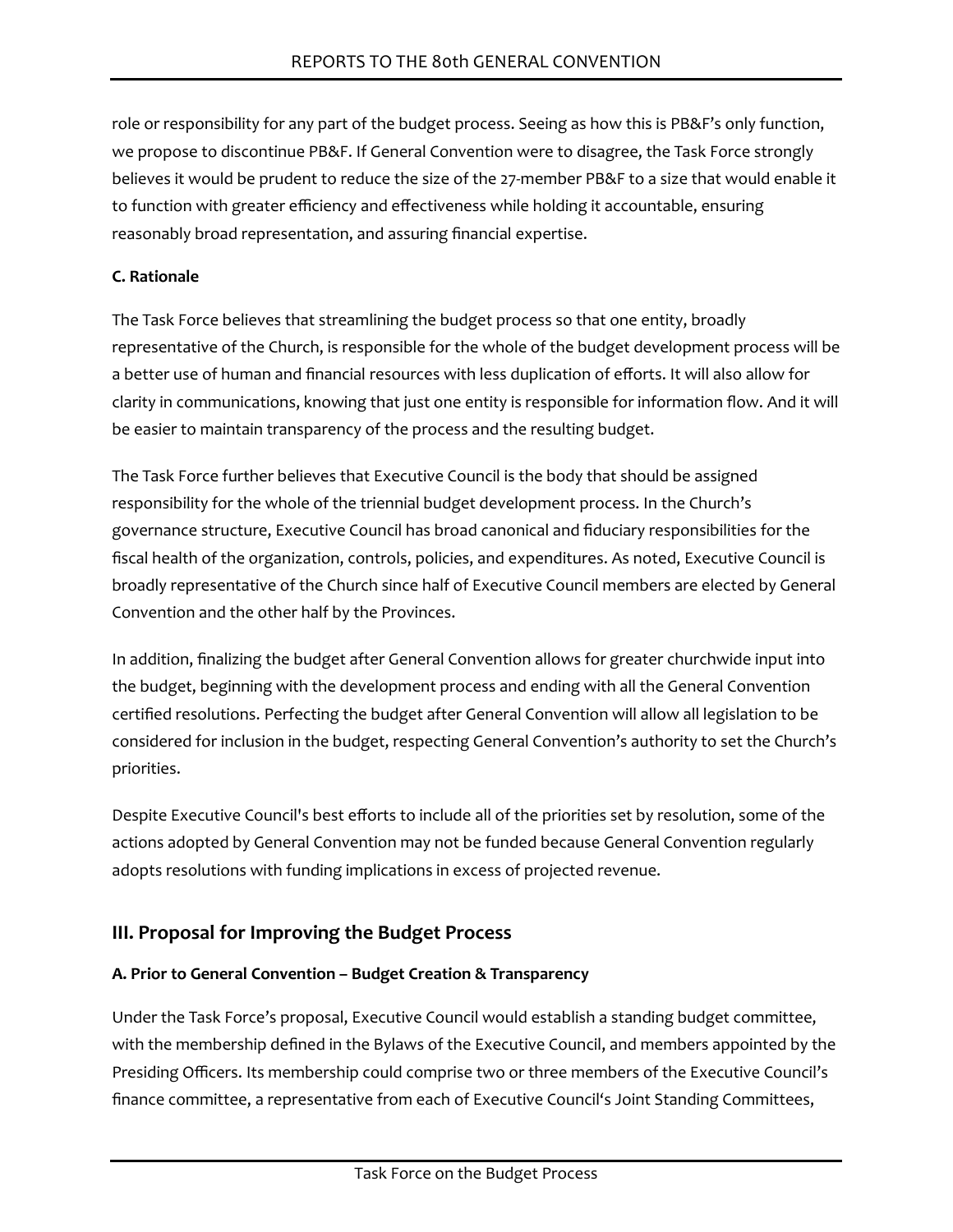role or responsibility for any part of the budget process. Seeing as how this is PB&F's only function, we propose to discontinue PB&F. If General Convention were to disagree, the Task Force strongly believes it would be prudent to reduce the size of the 27-member PB&F to a size that would enable it to function with greater efficiency and effectiveness while holding it accountable, ensuring reasonably broad representation, and assuring financial expertise.

## **C. Rationale**

The Task Force believes that streamlining the budget process so that one entity, broadly representative of the Church, is responsible for the whole of the budget development process will be a better use of human and financial resources with less duplication of efforts. It will also allow for clarity in communications, knowing that just one entity is responsible for information flow. And it will be easier to maintain transparency of the process and the resulting budget.

The Task Force further believes that Executive Council is the body that should be assigned responsibility for the whole of the triennial budget development process. In the Church's governance structure, Executive Council has broad canonical and fiduciary responsibilities for the fiscal health of the organization, controls, policies, and expenditures. As noted, Executive Council is broadly representative of the Church since half of Executive Council members are elected by General Convention and the other half by the Provinces.

In addition, finalizing the budget after General Convention allows for greater churchwide input into the budget, beginning with the development process and ending with all the General Convention certified resolutions. Perfecting the budget after General Convention will allow all legislation to be considered for inclusion in the budget, respecting General Convention's authority to set the Church's priorities.

Despite Executive Council's best efforts to include all of the priorities set by resolution, some of the actions adopted by General Convention may not be funded because General Convention regularly adopts resolutions with funding implications in excess of projected revenue.

## **III. Proposal for Improving the Budget Process**

## **A. Prior to General Convention – Budget Creation & Transparency**

Under the Task Force's proposal, Executive Council would establish a standing budget committee, with the membership defined in the Bylaws of the Executive Council, and members appointed by the Presiding Officers. Its membership could comprise two or three members of the Executive Council's finance committee, a representative from each of Executive Council's Joint Standing Committees,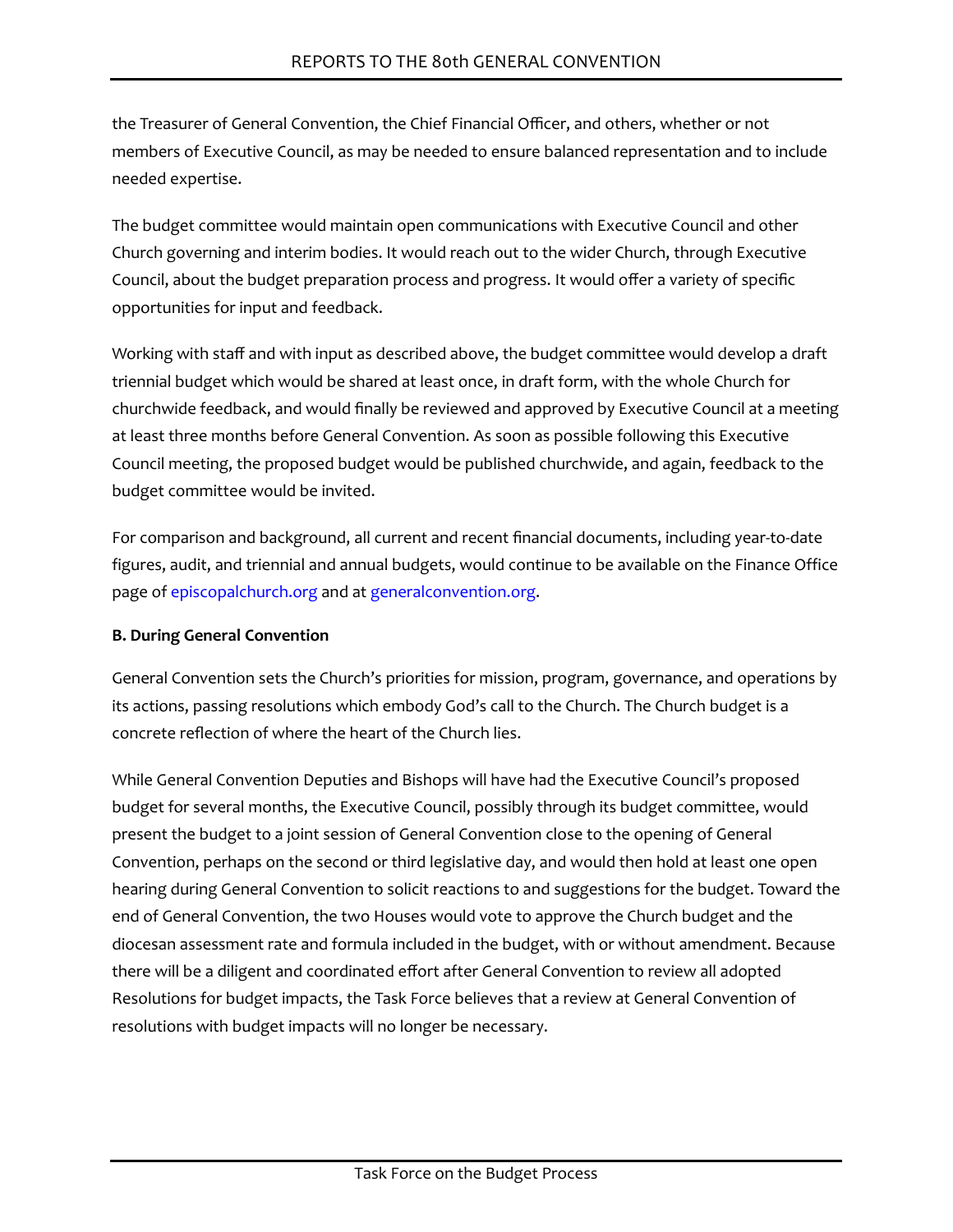the Treasurer of General Convention, the Chief Financial Officer, and others, whether or not members of Executive Council, as may be needed to ensure balanced representation and to include needed expertise.

The budget committee would maintain open communications with Executive Council and other Church governing and interim bodies. It would reach out to the wider Church, through Executive Council, about the budget preparation process and progress. It would offer a variety of specific opportunities for input and feedback.

Working with staff and with input as described above, the budget committee would develop a draft triennial budget which would be shared at least once, in draft form, with the whole Church for churchwide feedback, and would finally be reviewed and approved by Executive Council at a meeting at least three months before General Convention. As soon as possible following this Executive Council meeting, the proposed budget would be published churchwide, and again, feedback to the budget committee would be invited.

For comparison and background, all current and recent financial documents, including year-to-date figures, audit, and triennial and annual budgets, would continue to be available on the Finance Office page of episcopalchurch.org and at generalconvention.org.

## **B. During General Convention**

General Convention sets the Church's priorities for mission, program, governance, and operations by its actions, passing resolutions which embody God's call to the Church. The Church budget is a concrete reflection of where the heart of the Church lies.

While General Convention Deputies and Bishops will have had the Executive Council's proposed budget for several months, the Executive Council, possibly through its budget committee, would present the budget to a joint session of General Convention close to the opening of General Convention, perhaps on the second or third legislative day, and would then hold at least one open hearing during General Convention to solicit reactions to and suggestions for the budget. Toward the end of General Convention, the two Houses would vote to approve the Church budget and the diocesan assessment rate and formula included in the budget, with or without amendment. Because there will be a diligent and coordinated effort after General Convention to review all adopted Resolutions for budget impacts, the Task Force believes that a review at General Convention of resolutions with budget impacts will no longer be necessary.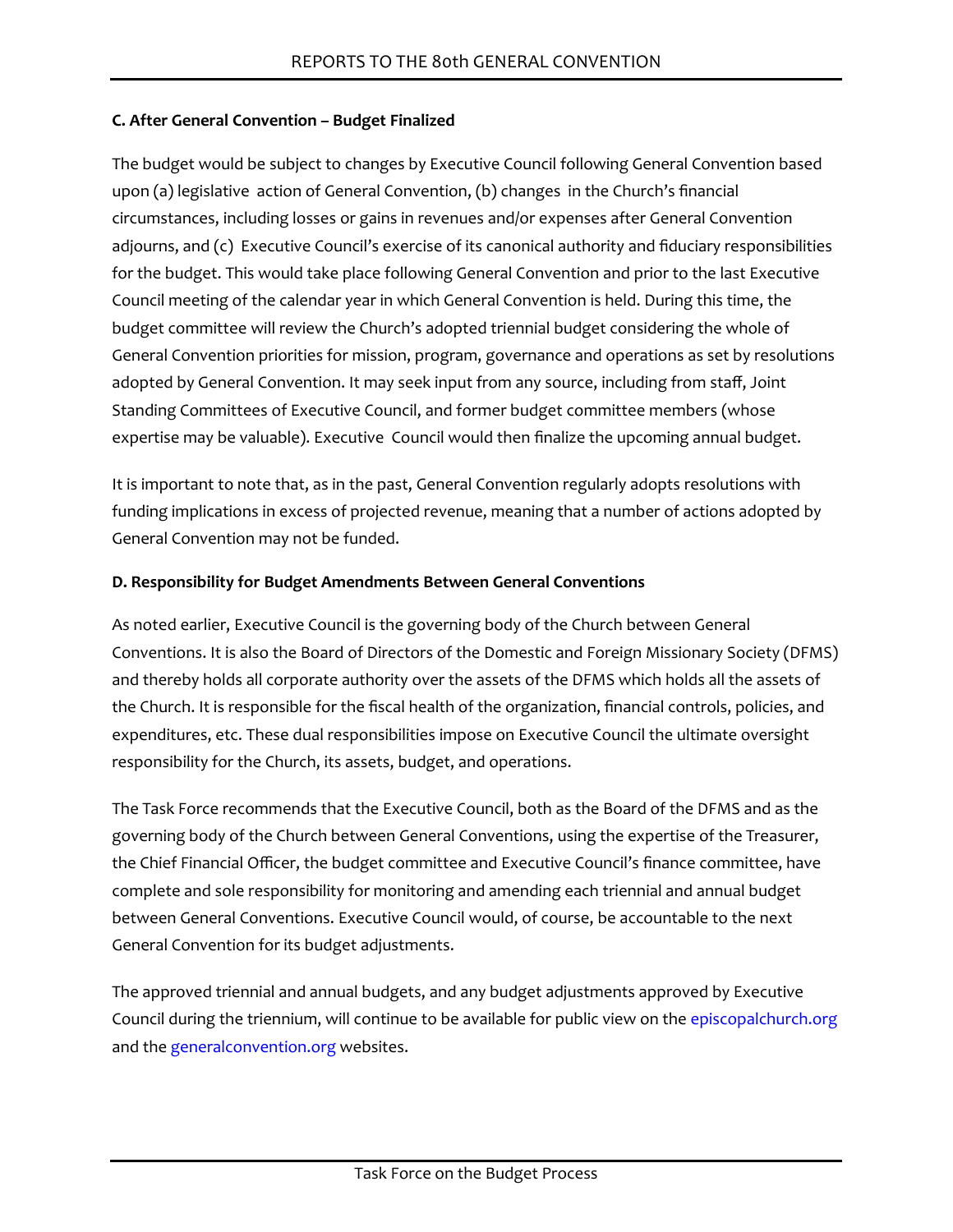## **C. After General Convention – Budget Finalized**

The budget would be subject to changes by Executive Council following General Convention based upon (a) legislative action of General Convention, (b) changes in the Church's financial circumstances, including losses or gains in revenues and/or expenses after General Convention adjourns, and (c) Executive Council's exercise of its canonical authority and fiduciary responsibilities for the budget. This would take place following General Convention and prior to the last Executive Council meeting of the calendar year in which General Convention is held. During this time, the budget committee will review the Church's adopted triennial budget considering the whole of General Convention priorities for mission, program, governance and operations as set by resolutions adopted by General Convention. It may seek input from any source, including from staff, Joint Standing Committees of Executive Council, and former budget committee members (whose expertise may be valuable). Executive Council would then finalize the upcoming annual budget.

It is important to note that, as in the past, General Convention regularly adopts resolutions with funding implications in excess of projected revenue, meaning that a number of actions adopted by General Convention may not be funded.

## **D. Responsibility for Budget Amendments Between General Conventions**

As noted earlier, Executive Council is the governing body of the Church between General Conventions. It is also the Board of Directors of the Domestic and Foreign Missionary Society (DFMS) and thereby holds all corporate authority over the assets of the DFMS which holds all the assets of the Church. It is responsible for the fiscal health of the organization, financial controls, policies, and expenditures, etc. These dual responsibilities impose on Executive Council the ultimate oversight responsibility for the Church, its assets, budget, and operations.

The Task Force recommends that the Executive Council, both as the Board of the DFMS and as the governing body of the Church between General Conventions, using the expertise of the Treasurer, the Chief Financial Officer, the budget committee and Executive Council's finance committee, have complete and sole responsibility for monitoring and amending each triennial and annual budget between General Conventions. Executive Council would, of course, be accountable to the next General Convention for its budget adjustments.

The approved triennial and annual budgets, and any budget adjustments approved by Executive Council during the triennium, will continue to be available for public view on the episcopalchurch.org and the generalconvention.org websites.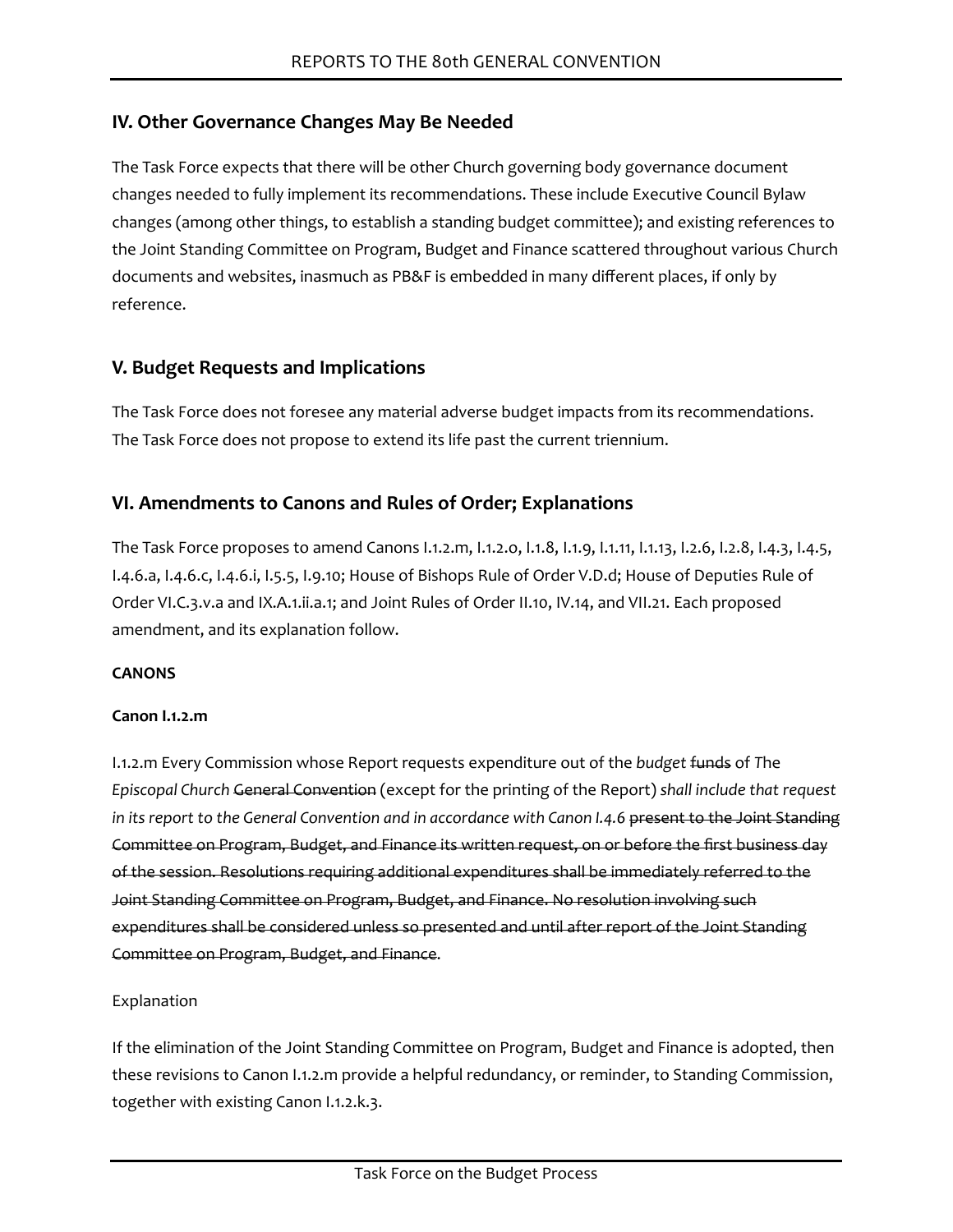## **IV. Other Governance Changes May Be Needed**

The Task Force expects that there will be other Church governing body governance document changes needed to fully implement its recommendations. These include Executive Council Bylaw changes (among other things, to establish a standing budget committee); and existing references to the Joint Standing Committee on Program, Budget and Finance scattered throughout various Church documents and websites, inasmuch as PB&F is embedded in many different places, if only by reference.

## **V. Budget Requests and Implications**

The Task Force does not foresee any material adverse budget impacts from its recommendations. The Task Force does not propose to extend its life past the current triennium.

## **VI. Amendments to Canons and Rules of Order; Explanations**

The Task Force proposes to amend Canons I.1.2.m, I.1.2.o, I.1.8, I.1.9, I.1.11, I.1.13, I.2.6, I.2.8, I.4.3, I.4.5, I.4.6.a, I.4.6.c, I.4.6.i, I.5.5, I.9.10; House of Bishops Rule of Order V.D.d; House of Deputies Rule of Order VI.C.3.v.a and IX.A.1.ii.a.1; and Joint Rules of Order II.10, IV.14, and VII.21. Each proposed amendment, and its explanation follow.

## **CANONS**

## **Canon I.1.2.m**

I.1.2.m Every Commission whose Report requests expenditure out of the *budget* funds of *T*he *Episcopal Church* General Convention (except for the printing of the Report) *shall include that request in its report to the General Convention and in accordance with Canon I.4.6* present to the Joint Standing Committee on Program, Budget, and Finance its written request, on or before the first business day of the session. Resolutions requiring additional expenditures shall be immediately referred to the Joint Standing Committee on Program, Budget, and Finance. No resolution involving such expenditures shall be considered unless so presented and until after report of the Joint Standing Committee on Program, Budget, and Finance.

## Explanation

If the elimination of the Joint Standing Committee on Program, Budget and Finance is adopted, then these revisions to Canon I.1.2.m provide a helpful redundancy, or reminder, to Standing Commission, together with existing Canon I.1.2.k.3.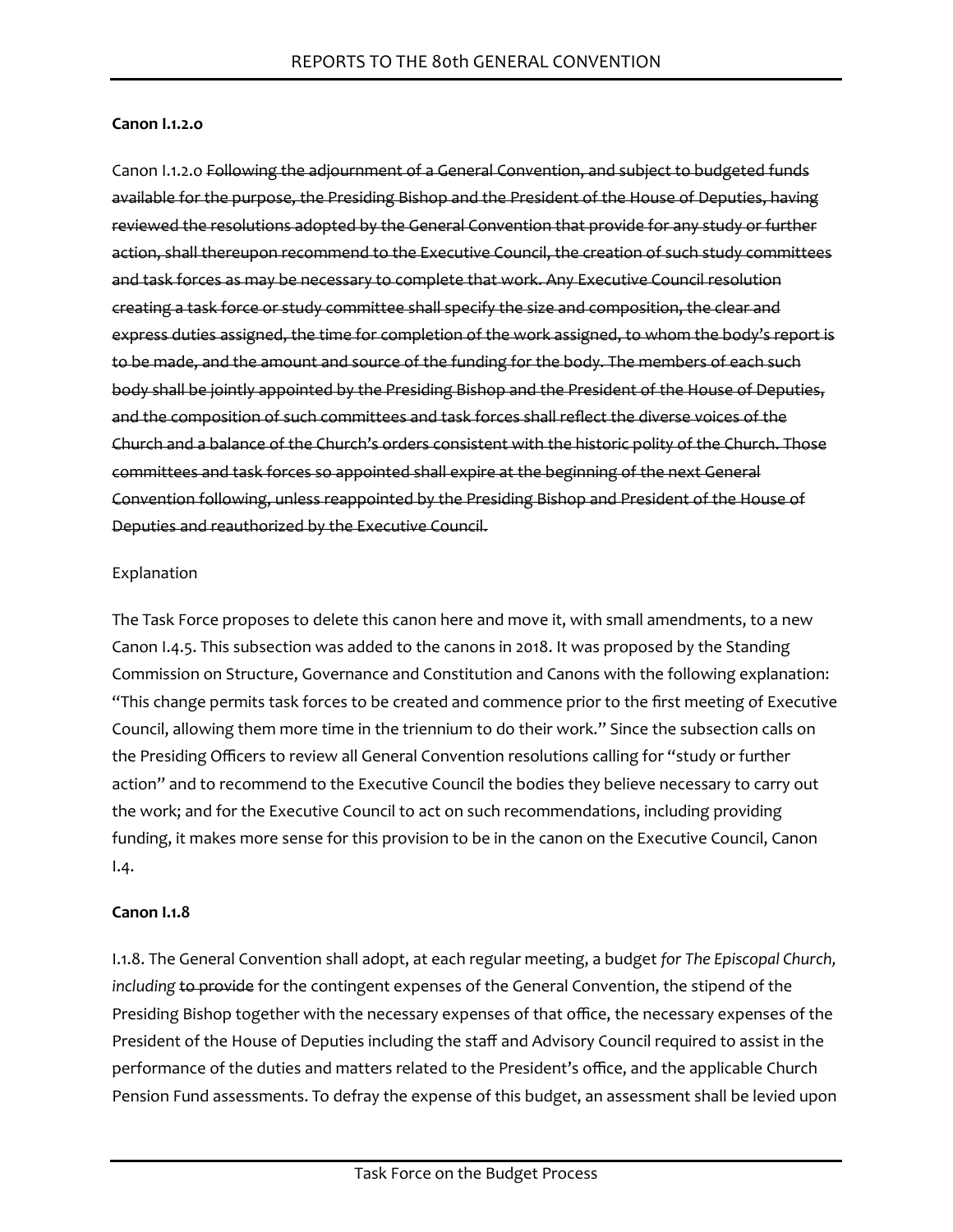#### **Canon I.1.2.o**

Canon I.1.2.o Following the adjournment of a General Convention, and subject to budgeted funds available for the purpose, the Presiding Bishop and the President of the House of Deputies, having reviewed the resolutions adopted by the General Convention that provide for any study or further action, shall thereupon recommend to the Executive Council, the creation of such study committees and task forces as may be necessary to complete that work. Any Executive Council resolution creating a task force or study committee shall specify the size and composition, the clear and express duties assigned, the time for completion of the work assigned, to whom the body's report is to be made, and the amount and source of the funding for the body. The members of each such body shall be jointly appointed by the Presiding Bishop and the President of the House of Deputies, and the composition of such committees and task forces shall reflect the diverse voices of the Church and a balance of the Church's orders consistent with the historic polity of the Church. Those committees and task forces so appointed shall expire at the beginning of the next General Convention following, unless reappointed by the Presiding Bishop and President of the House of Deputies and reauthorized by the Executive Council.

#### Explanation

The Task Force proposes to delete this canon here and move it, with small amendments, to a new Canon I.4.5. This subsection was added to the canons in 2018. It was proposed by the Standing Commission on Structure, Governance and Constitution and Canons with the following explanation: "This change permits task forces to be created and commence prior to the first meeting of Executive Council, allowing them more time in the triennium to do their work." Since the subsection calls on the Presiding Officers to review all General Convention resolutions calling for "study or further action" and to recommend to the Executive Council the bodies they believe necessary to carry out the work; and for the Executive Council to act on such recommendations, including providing funding, it makes more sense for this provision to be in the canon on the Executive Council, Canon I.4.

## **Canon I.1.8**

I.1.8. The General Convention shall adopt, at each regular meeting, a budget *for The Episcopal Church, including* to provide for the contingent expenses of the General Convention, the stipend of the Presiding Bishop together with the necessary expenses of that office, the necessary expenses of the President of the House of Deputies including the staff and Advisory Council required to assist in the performance of the duties and matters related to the President's office, and the applicable Church Pension Fund assessments. To defray the expense of this budget, an assessment shall be levied upon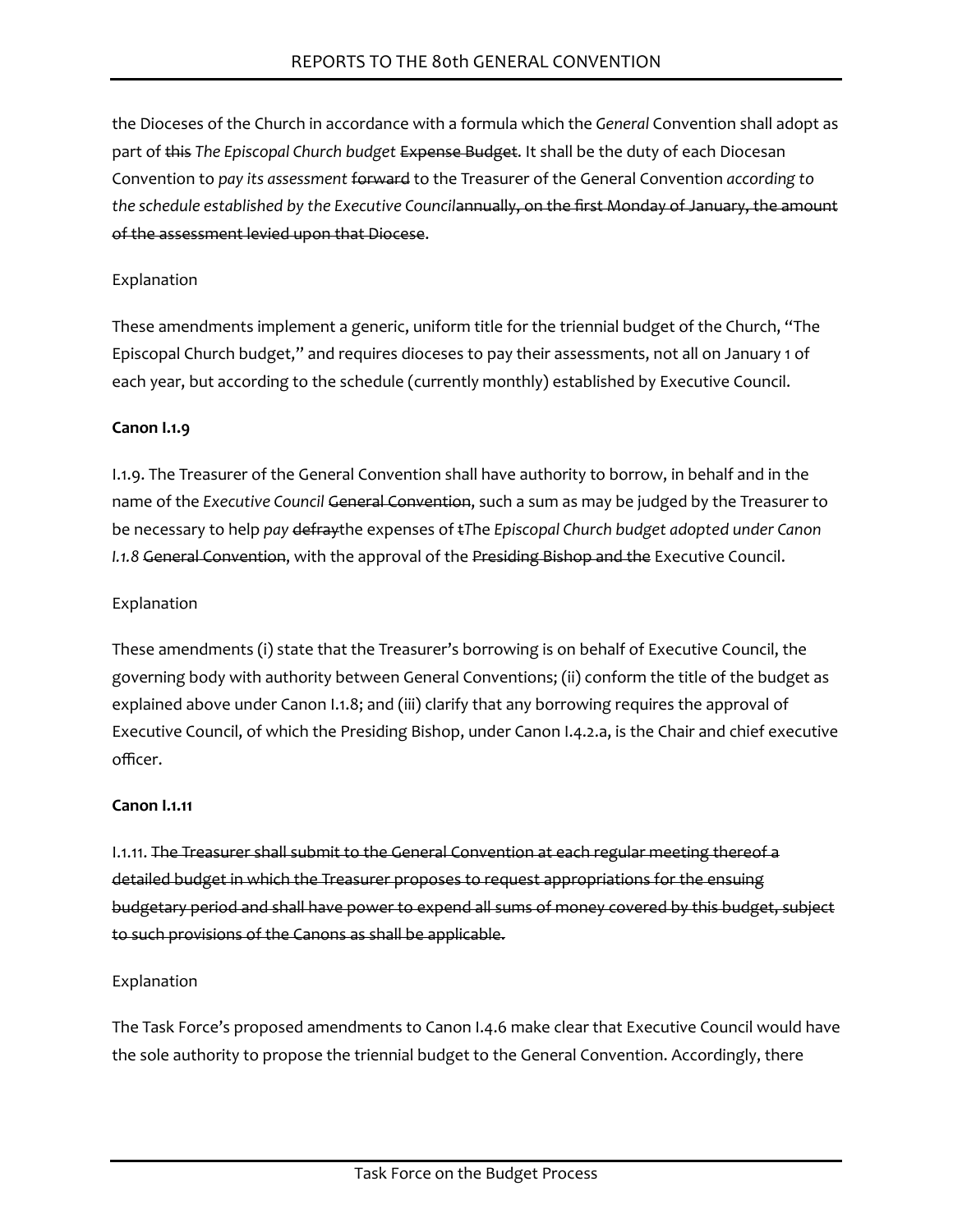the Dioceses of the Church in accordance with a formula which the *General* Convention shall adopt as part of this *The Episcopal Church budget* Expense Budget. It shall be the duty of each Diocesan Convention to *pay its assessment* forward to the Treasurer of the General Convention *according to the schedule established by the Executive Council*annually, on the first Monday of January, the amount of the assessment levied upon that Diocese.

## Explanation

These amendments implement a generic, uniform title for the triennial budget of the Church, "The Episcopal Church budget," and requires dioceses to pay their assessments, not all on January 1 of each year, but according to the schedule (currently monthly) established by Executive Council.

## **Canon I.1.9**

I.1.9. The Treasurer of the General Convention shall have authority to borrow, in behalf and in the name of the *Executive Council* General Convention, such a sum as may be judged by the Treasurer to be necessary to help *pay* defraythe expenses of t*T*he *Episcopal Church budget adopted under Canon I.1.8* General Convention, with the approval of the Presiding Bishop and the Executive Council.

## Explanation

These amendments (i) state that the Treasurer's borrowing is on behalf of Executive Council, the governing body with authority between General Conventions; (ii) conform the title of the budget as explained above under Canon I.1.8; and (iii) clarify that any borrowing requires the approval of Executive Council, of which the Presiding Bishop, under Canon I.4.2.a, is the Chair and chief executive officer.

## **Canon I.1.11**

I.1.11. The Treasurer shall submit to the General Convention at each regular meeting thereof a detailed budget in which the Treasurer proposes to request appropriations for the ensuing budgetary period and shall have power to expend all sums of money covered by this budget, subject to such provisions of the Canons as shall be applicable.

## Explanation

The Task Force's proposed amendments to Canon I.4.6 make clear that Executive Council would have the sole authority to propose the triennial budget to the General Convention. Accordingly, there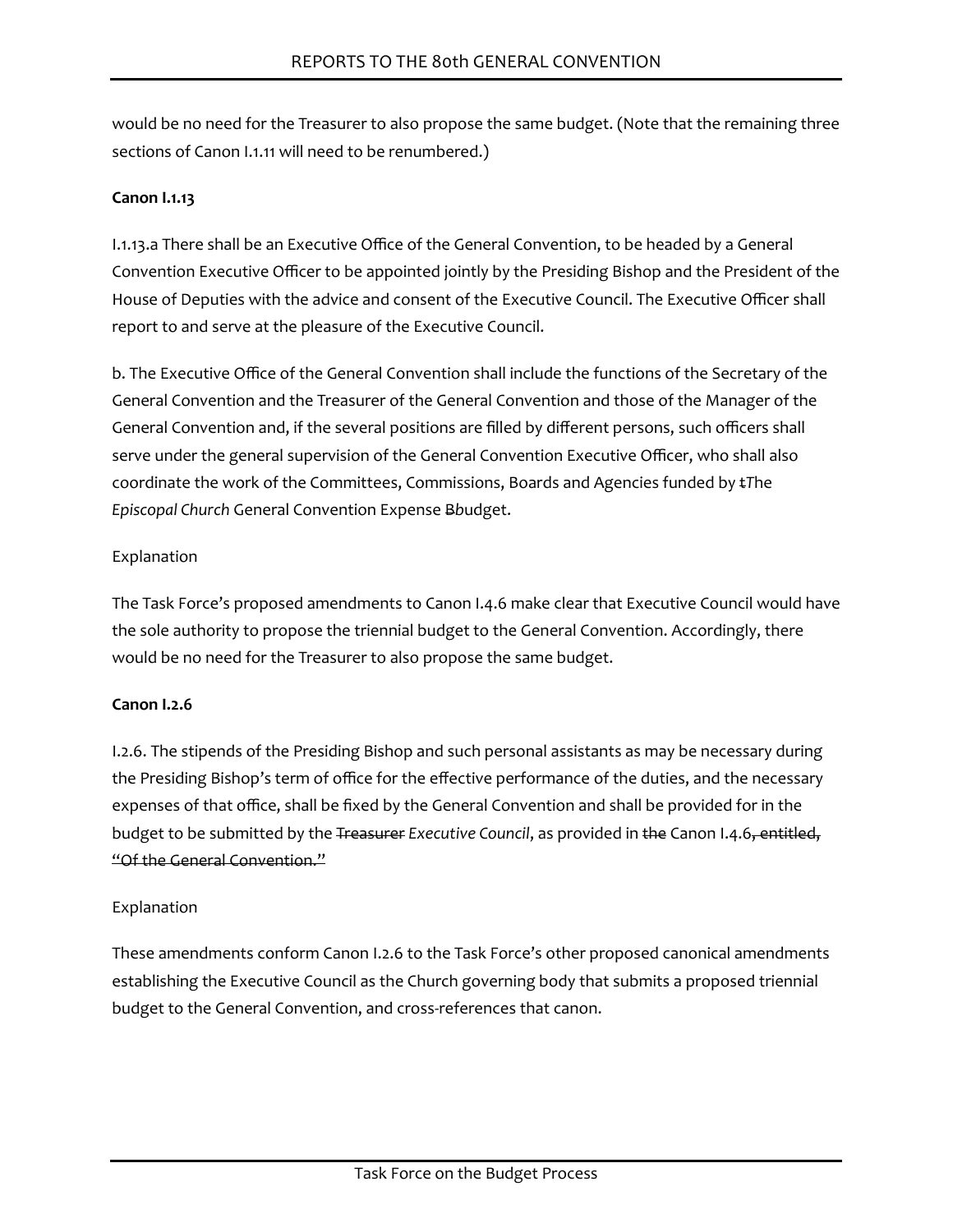would be no need for the Treasurer to also propose the same budget. (Note that the remaining three sections of Canon I.1.11 will need to be renumbered.)

## **Canon I.1.13**

I.1.13.a There shall be an Executive Office of the General Convention, to be headed by a General Convention Executive Officer to be appointed jointly by the Presiding Bishop and the President of the House of Deputies with the advice and consent of the Executive Council. The Executive Officer shall report to and serve at the pleasure of the Executive Council.

b. The Executive Office of the General Convention shall include the functions of the Secretary of the General Convention and the Treasurer of the General Convention and those of the Manager of the General Convention and, if the several positions are filled by different persons, such officers shall serve under the general supervision of the General Convention Executive Officer, who shall also coordinate the work of the Committees, Commissions, Boards and Agencies funded by t*T*he *Episcopal Church* General Convention Expense B*b*udget.

## Explanation

The Task Force's proposed amendments to Canon I.4.6 make clear that Executive Council would have the sole authority to propose the triennial budget to the General Convention. Accordingly, there would be no need for the Treasurer to also propose the same budget.

## **Canon I.2.6**

I.2.6. The stipends of the Presiding Bishop and such personal assistants as may be necessary during the Presiding Bishop's term of office for the effective performance of the duties, and the necessary expenses of that office, shall be fixed by the General Convention and shall be provided for in the budget to be submitted by the Treasurer *Executive Council*, as provided in the Canon I.4.6, entitled, "Of the General Convention."

## Explanation

These amendments conform Canon I.2.6 to the Task Force's other proposed canonical amendments establishing the Executive Council as the Church governing body that submits a proposed triennial budget to the General Convention, and cross-references that canon.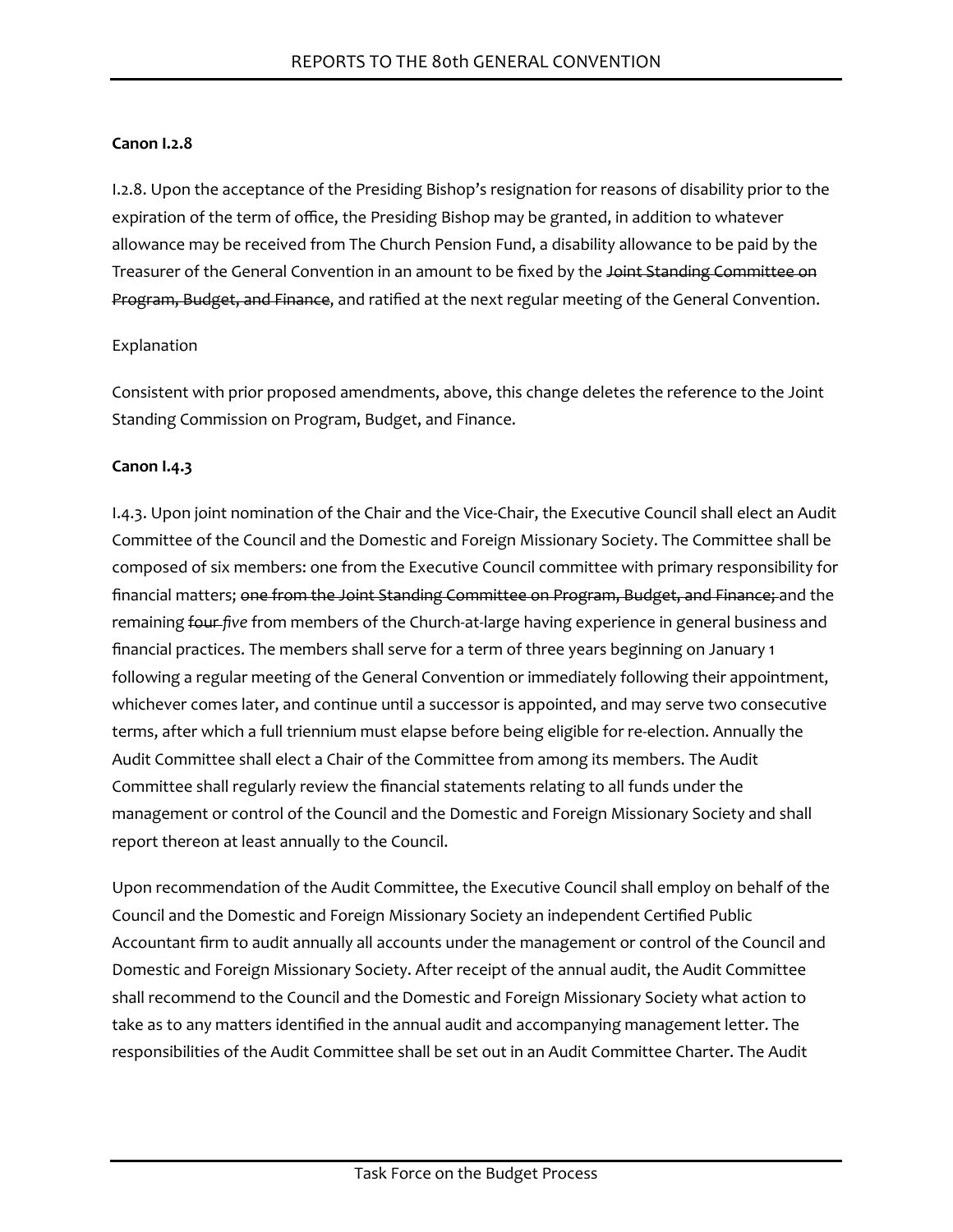## **Canon I.2.8**

I.2.8. Upon the acceptance of the Presiding Bishop's resignation for reasons of disability prior to the expiration of the term of office, the Presiding Bishop may be granted, in addition to whatever allowance may be received from The Church Pension Fund, a disability allowance to be paid by the Treasurer of the General Convention in an amount to be fixed by the Joint Standing Committee on Program, Budget, and Finance, and ratified at the next regular meeting of the General Convention.

#### Explanation

Consistent with prior proposed amendments, above, this change deletes the reference to the Joint Standing Commission on Program, Budget, and Finance.

#### **Canon I.4.3**

I.4.3. Upon joint nomination of the Chair and the Vice-Chair, the Executive Council shall elect an Audit Committee of the Council and the Domestic and Foreign Missionary Society. The Committee shall be composed of six members: one from the Executive Council committee with primary responsibility for financial matters; one from the Joint Standing Committee on Program, Budget, and Finance; and the remaining four five from members of the Church-at-large having experience in general business and financial practices. The members shall serve for a term of three years beginning on January 1 following a regular meeting of the General Convention or immediately following their appointment, whichever comes later, and continue until a successor is appointed, and may serve two consecutive terms, after which a full triennium must elapse before being eligible for re-election. Annually the Audit Committee shall elect a Chair of the Committee from among its members. The Audit Committee shall regularly review the financial statements relating to all funds under the management or control of the Council and the Domestic and Foreign Missionary Society and shall report thereon at least annually to the Council.

Upon recommendation of the Audit Committee, the Executive Council shall employ on behalf of the Council and the Domestic and Foreign Missionary Society an independent Certified Public Accountant firm to audit annually all accounts under the management or control of the Council and Domestic and Foreign Missionary Society. After receipt of the annual audit, the Audit Committee shall recommend to the Council and the Domestic and Foreign Missionary Society what action to take as to any matters identified in the annual audit and accompanying management letter. The responsibilities of the Audit Committee shall be set out in an Audit Committee Charter. The Audit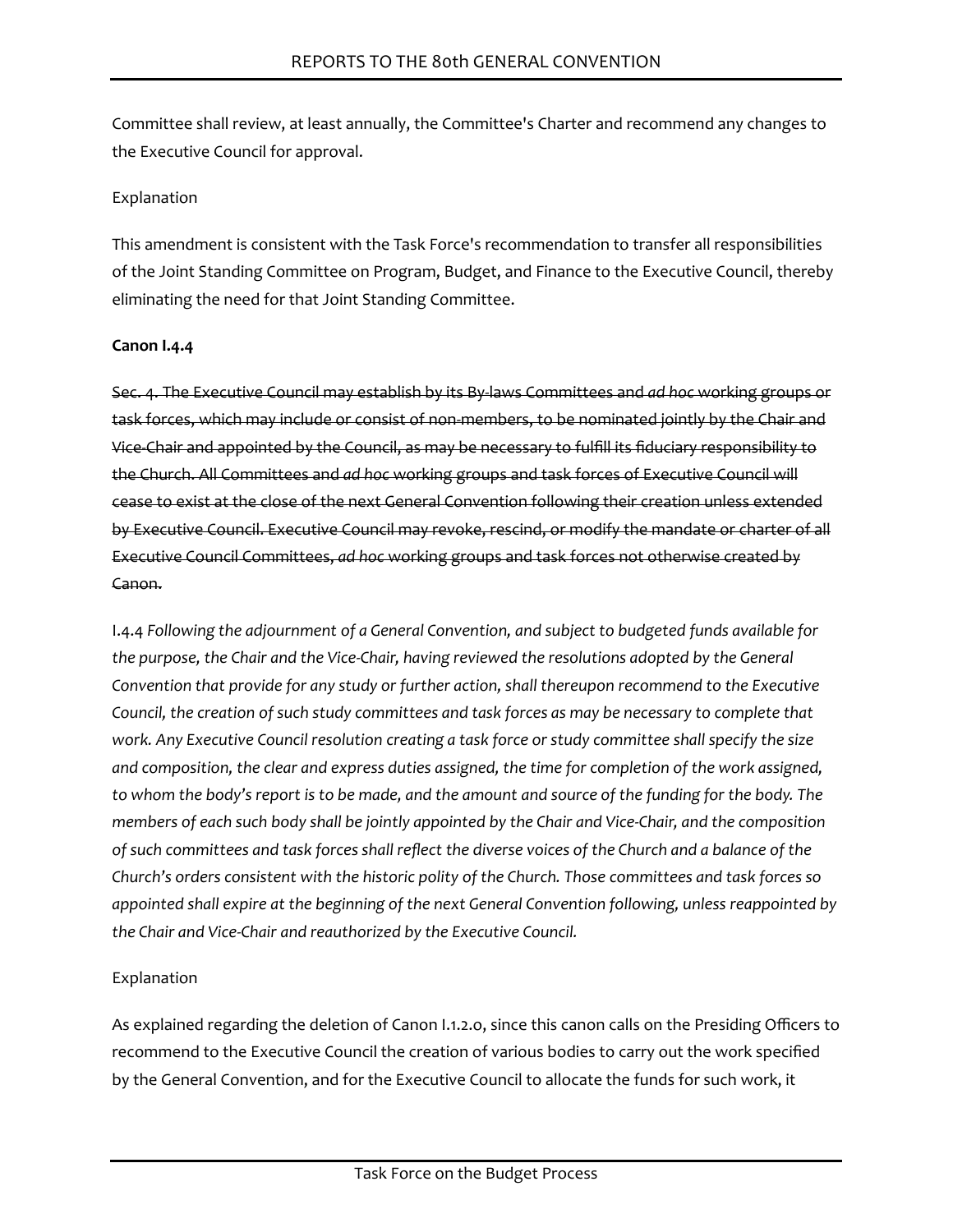Committee shall review, at least annually, the Committee's Charter and recommend any changes to the Executive Council for approval.

## Explanation

This amendment is consistent with the Task Force's recommendation to transfer all responsibilities of the Joint Standing Committee on Program, Budget, and Finance to the Executive Council, thereby eliminating the need for that Joint Standing Committee.

#### **Canon I.4.4**

Sec. 4. The Executive Council may establish by its By-laws Committees and *ad hoc* working groups or task forces, which may include or consist of non-members, to be nominated jointly by the Chair and Vice-Chair and appointed by the Council, as may be necessary to fulfill its fiduciary responsibility to the Church. All Committees and *ad hoc* working groups and task forces of Executive Council will cease to exist at the close of the next General Convention following their creation unless extended by Executive Council. Executive Council may revoke, rescind, or modify the mandate or charter of all Executive Council Committees, *ad hoc* working groups and task forces not otherwise created by Canon.

I.4.4 *Following the adjournment of a General Convention, and subject to budgeted funds available for the purpose, the Chair and the Vice-Chair, having reviewed the resolutions adopted by the General Convention that provide for any study or further action, shall thereupon recommend to the Executive Council, the creation of such study committees and task forces as may be necessary to complete that work. Any Executive Council resolution creating a task force or study committee shall specify the size and composition, the clear and express duties assigned, the time for completion of the work assigned, to whom the body's report is to be made, and the amount and source of the funding for the body. The members of each such body shall be jointly appointed by the Chair and Vice-Chair, and the composition of such committees and task forces shall reflect the diverse voices of the Church and a balance of the Church's orders consistent with the historic polity of the Church. Those committees and task forces so appointed shall expire at the beginning of the next General Convention following, unless reappointed by the Chair and Vice-Chair and reauthorized by the Executive Council.*

## Explanation

As explained regarding the deletion of Canon I.1.2.o, since this canon calls on the Presiding Officers to recommend to the Executive Council the creation of various bodies to carry out the work specified by the General Convention, and for the Executive Council to allocate the funds for such work, it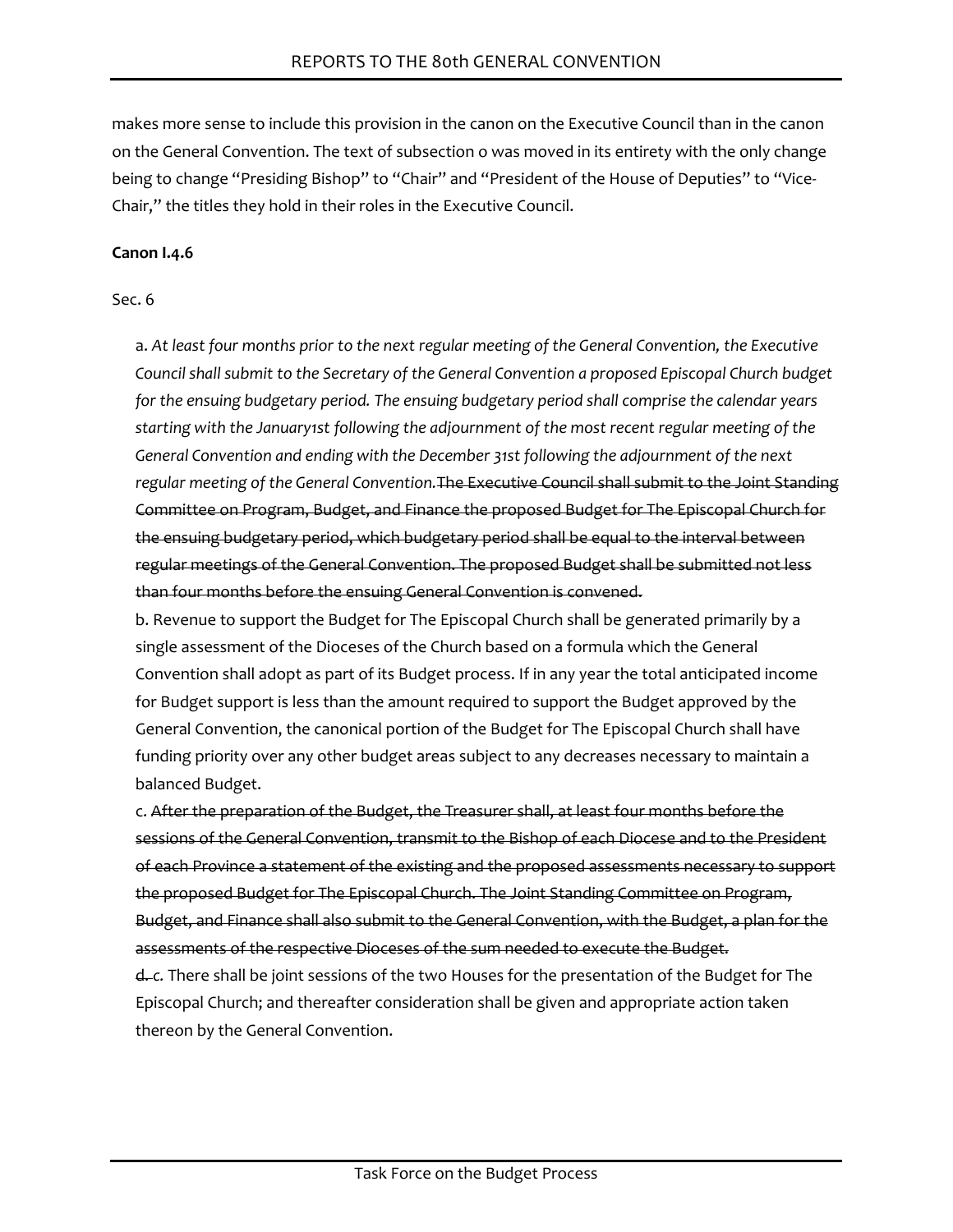makes more sense to include this provision in the canon on the Executive Council than in the canon on the General Convention. The text of subsection o was moved in its entirety with the only change being to change "Presiding Bishop" to "Chair" and "President of the House of Deputies" to "Vice-Chair," the titles they hold in their roles in the Executive Council.

#### **Canon I.4.6**

#### Sec. 6

a. *At least four months prior to the next regular meeting of the General Convention, the Executive Council shall submit to the Secretary of the General Convention a proposed Episcopal Church budget for the ensuing budgetary period. The ensuing budgetary period shall comprise the calendar years starting with the January1st following the adjournment of the most recent regular meeting of the General Convention and ending with the December 31st following the adjournment of the next regular meeting of the General Convention.*The Executive Council shall submit to the Joint Standing Committee on Program, Budget, and Finance the proposed Budget for The Episcopal Church for the ensuing budgetary period, which budgetary period shall be equal to the interval between regular meetings of the General Convention. The proposed Budget shall be submitted not less than four months before the ensuing General Convention is convened.

b. Revenue to support the Budget for The Episcopal Church shall be generated primarily by a single assessment of the Dioceses of the Church based on a formula which the General Convention shall adopt as part of its Budget process. If in any year the total anticipated income for Budget support is less than the amount required to support the Budget approved by the General Convention, the canonical portion of the Budget for The Episcopal Church shall have funding priority over any other budget areas subject to any decreases necessary to maintain a balanced Budget.

c. After the preparation of the Budget, the Treasurer shall, at least four months before the sessions of the General Convention, transmit to the Bishop of each Diocese and to the President of each Province a statement of the existing and the proposed assessments necessary to support the proposed Budget for The Episcopal Church. The Joint Standing Committee on Program, Budget, and Finance shall also submit to the General Convention, with the Budget, a plan for the assessments of the respective Dioceses of the sum needed to execute the Budget. d. *c.* There shall be joint sessions of the two Houses for the presentation of the Budget for The Episcopal Church; and thereafter consideration shall be given and appropriate action taken thereon by the General Convention.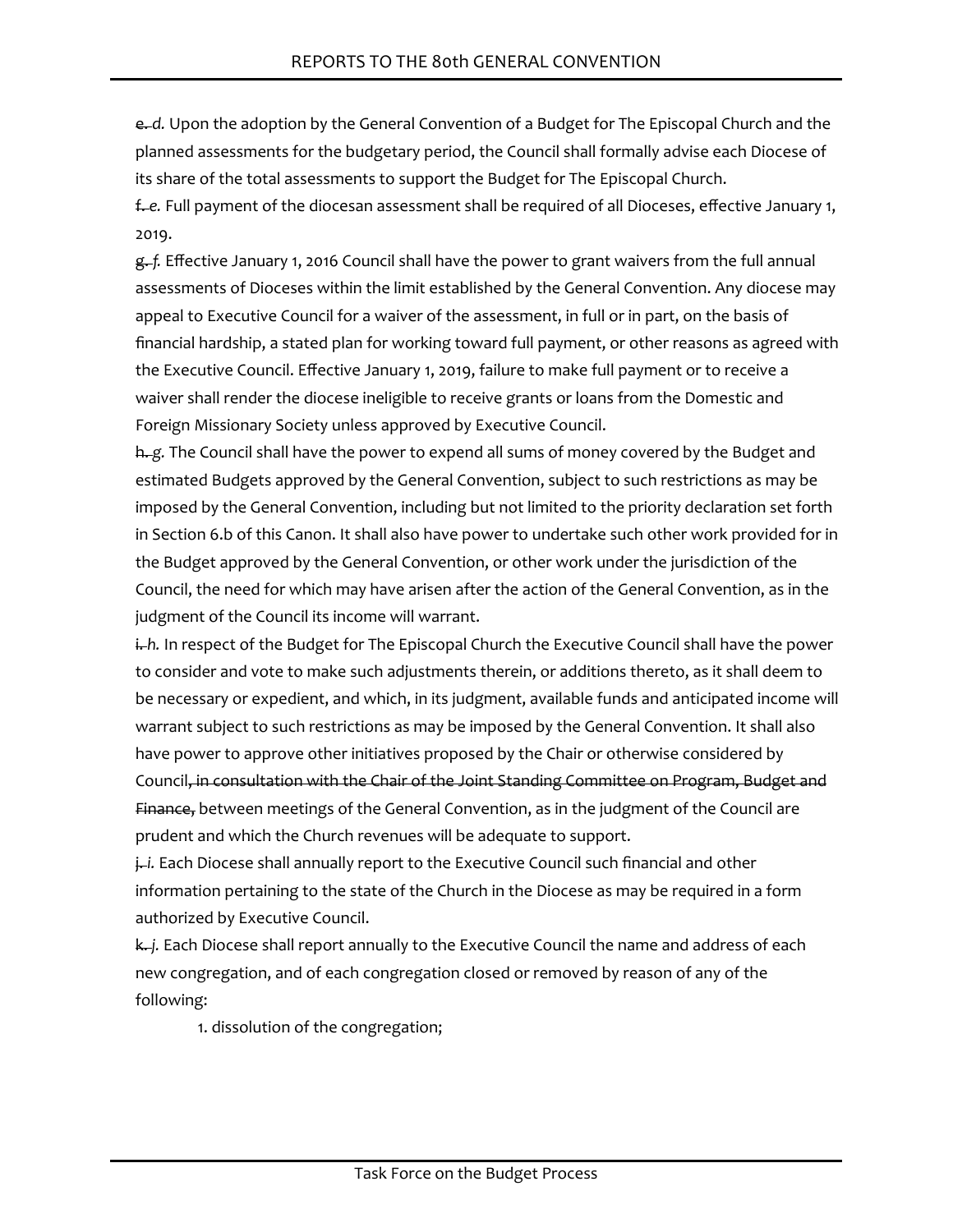e. *d.* Upon the adoption by the General Convention of a Budget for The Episcopal Church and the planned assessments for the budgetary period, the Council shall formally advise each Diocese of its share of the total assessments to support the Budget for The Episcopal Church. f. *e.* Full payment of the diocesan assessment shall be required of all Dioceses, effective January 1, 2019.

g. *f.* Effective January 1, 2016 Council shall have the power to grant waivers from the full annual assessments of Dioceses within the limit established by the General Convention. Any diocese may appeal to Executive Council for a waiver of the assessment, in full or in part, on the basis of financial hardship, a stated plan for working toward full payment, or other reasons as agreed with the Executive Council. Effective January 1, 2019, failure to make full payment or to receive a waiver shall render the diocese ineligible to receive grants or loans from the Domestic and Foreign Missionary Society unless approved by Executive Council.

h. *g.* The Council shall have the power to expend all sums of money covered by the Budget and estimated Budgets approved by the General Convention, subject to such restrictions as may be imposed by the General Convention, including but not limited to the priority declaration set forth in Section 6.b of this Canon. It shall also have power to undertake such other work provided for in the Budget approved by the General Convention, or other work under the jurisdiction of the Council, the need for which may have arisen after the action of the General Convention, as in the judgment of the Council its income will warrant.

i. *h.* In respect of the Budget for The Episcopal Church the Executive Council shall have the power to consider and vote to make such adjustments therein, or additions thereto, as it shall deem to be necessary or expedient, and which, in its judgment, available funds and anticipated income will warrant subject to such restrictions as may be imposed by the General Convention. It shall also have power to approve other initiatives proposed by the Chair or otherwise considered by Council, in consultation with the Chair of the Joint Standing Committee on Program, Budget and Finance, between meetings of the General Convention, as in the judgment of the Council are prudent and which the Church revenues will be adequate to support.

j. *i.* Each Diocese shall annually report to the Executive Council such financial and other information pertaining to the state of the Church in the Diocese as may be required in a form authorized by Executive Council.

k. *j.* Each Diocese shall report annually to the Executive Council the name and address of each new congregation, and of each congregation closed or removed by reason of any of the following:

1. dissolution of the congregation;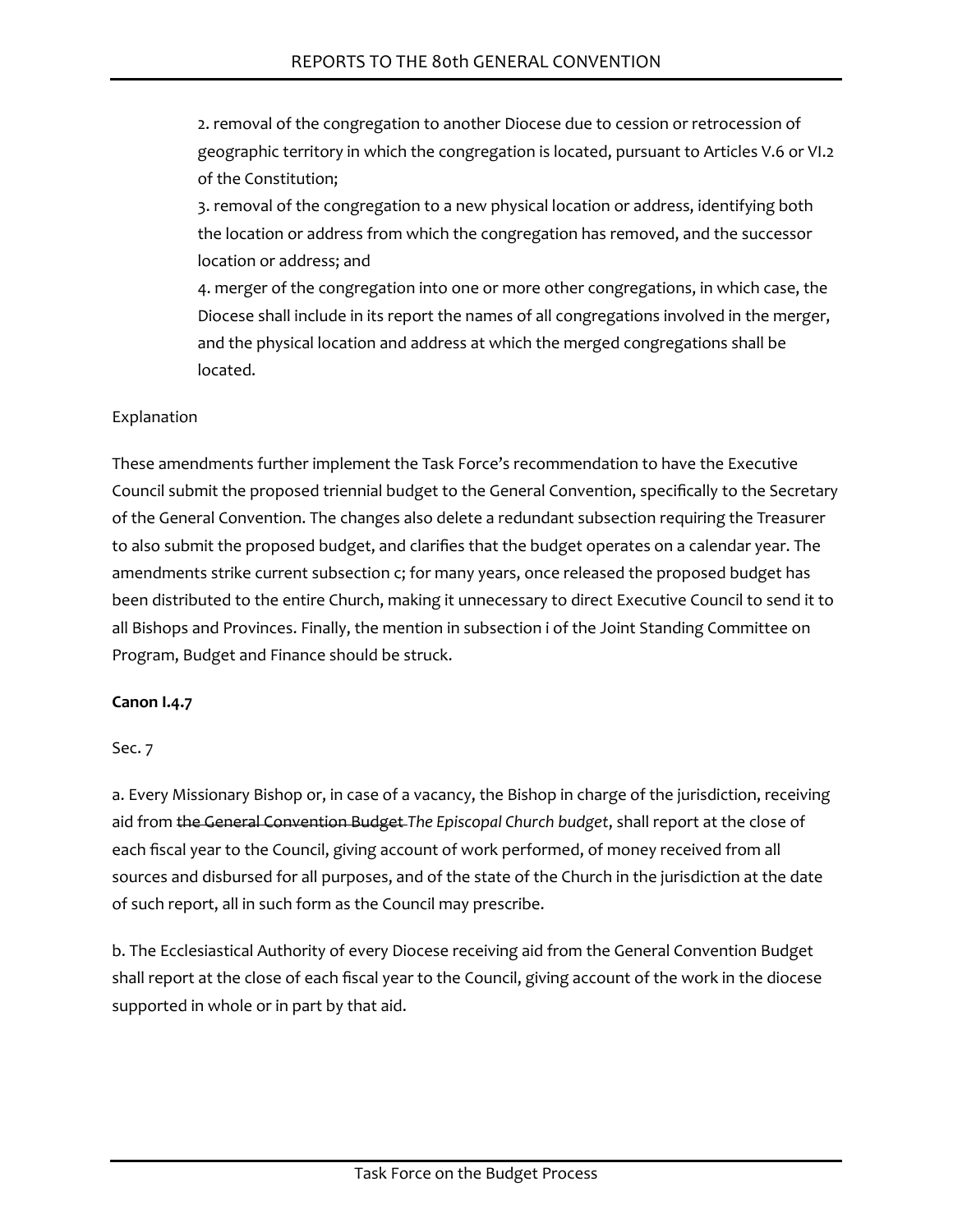2. removal of the congregation to another Diocese due to cession or retrocession of geographic territory in which the congregation is located, pursuant to Articles V.6 or VI.2 of the Constitution;

3. removal of the congregation to a new physical location or address, identifying both the location or address from which the congregation has removed, and the successor location or address; and

4. merger of the congregation into one or more other congregations, in which case, the Diocese shall include in its report the names of all congregations involved in the merger, and the physical location and address at which the merged congregations shall be located.

## Explanation

These amendments further implement the Task Force's recommendation to have the Executive Council submit the proposed triennial budget to the General Convention, specifically to the Secretary of the General Convention. The changes also delete a redundant subsection requiring the Treasurer to also submit the proposed budget, and clarifies that the budget operates on a calendar year. The amendments strike current subsection c; for many years, once released the proposed budget has been distributed to the entire Church, making it unnecessary to direct Executive Council to send it to all Bishops and Provinces. Finally, the mention in subsection i of the Joint Standing Committee on Program, Budget and Finance should be struck.

#### **Canon I.4.7**

#### Sec. 7

a. Every Missionary Bishop or, in case of a vacancy, the Bishop in charge of the jurisdiction, receiving aid from the General Convention Budget *The Episcopal Church budget*, shall report at the close of each fiscal year to the Council, giving account of work performed, of money received from all sources and disbursed for all purposes, and of the state of the Church in the jurisdiction at the date of such report, all in such form as the Council may prescribe.

b. The Ecclesiastical Authority of every Diocese receiving aid from the General Convention Budget shall report at the close of each fiscal year to the Council, giving account of the work in the diocese supported in whole or in part by that aid.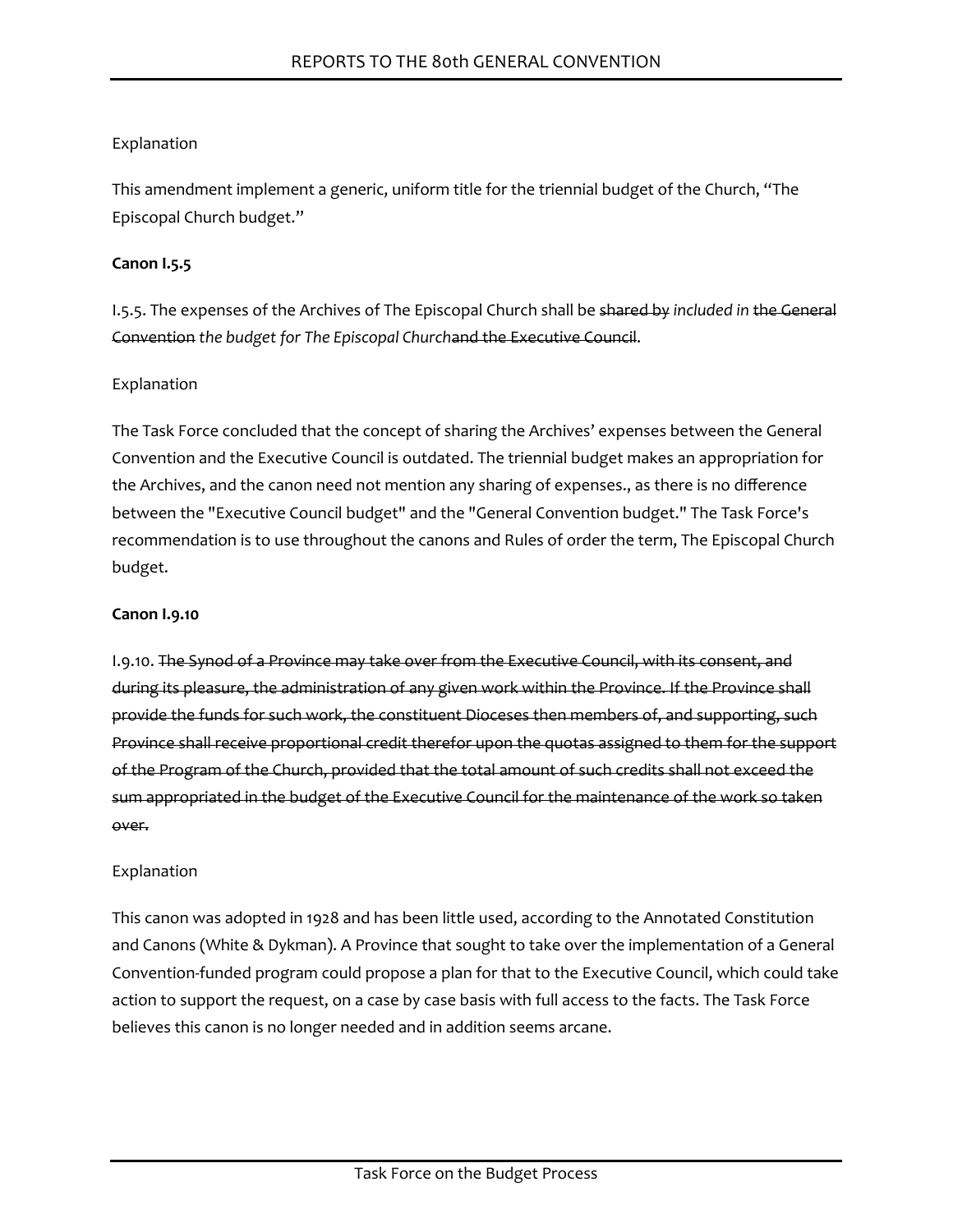## Explanation

This amendment implement a generic, uniform title for the triennial budget of the Church, "The Episcopal Church budget."

## **Canon I.5.5**

I.5.5. The expenses of the Archives of The Episcopal Church shall be shared by *included in* the General Convention the budget for The Episcopal Churchand the Executive Council.

## Explanation

The Task Force concluded that the concept of sharing the Archives' expenses between the General Convention and the Executive Council is outdated. The triennial budget makes an appropriation for the Archives, and the canon need not mention any sharing of expenses., as there is no difference between the "Executive Council budget" and the "General Convention budget." The Task Force's recommendation is to use throughout the canons and Rules of order the term, The Episcopal Church budget.

#### **Canon I.9.10**

I.9.10. The Synod of a Province may take over from the Executive Council, with its consent, and during its pleasure, the administration of any given work within the Province. If the Province shall provide the funds for such work, the constituent Dioceses then members of, and supporting, such Province shall receive proportional credit therefor upon the quotas assigned to them for the support of the Program of the Church, provided that the total amount of such credits shall not exceed the sum appropriated in the budget of the Executive Council for the maintenance of the work so taken over.

#### Explanation

This canon was adopted in 1928 and has been little used, according to the Annotated Constitution and Canons (White & Dykman). A Province that sought to take over the implementation of a General Convention-funded program could propose a plan for that to the Executive Council, which could take action to support the request, on a case by case basis with full access to the facts. The Task Force believes this canon is no longer needed and in addition seems arcane.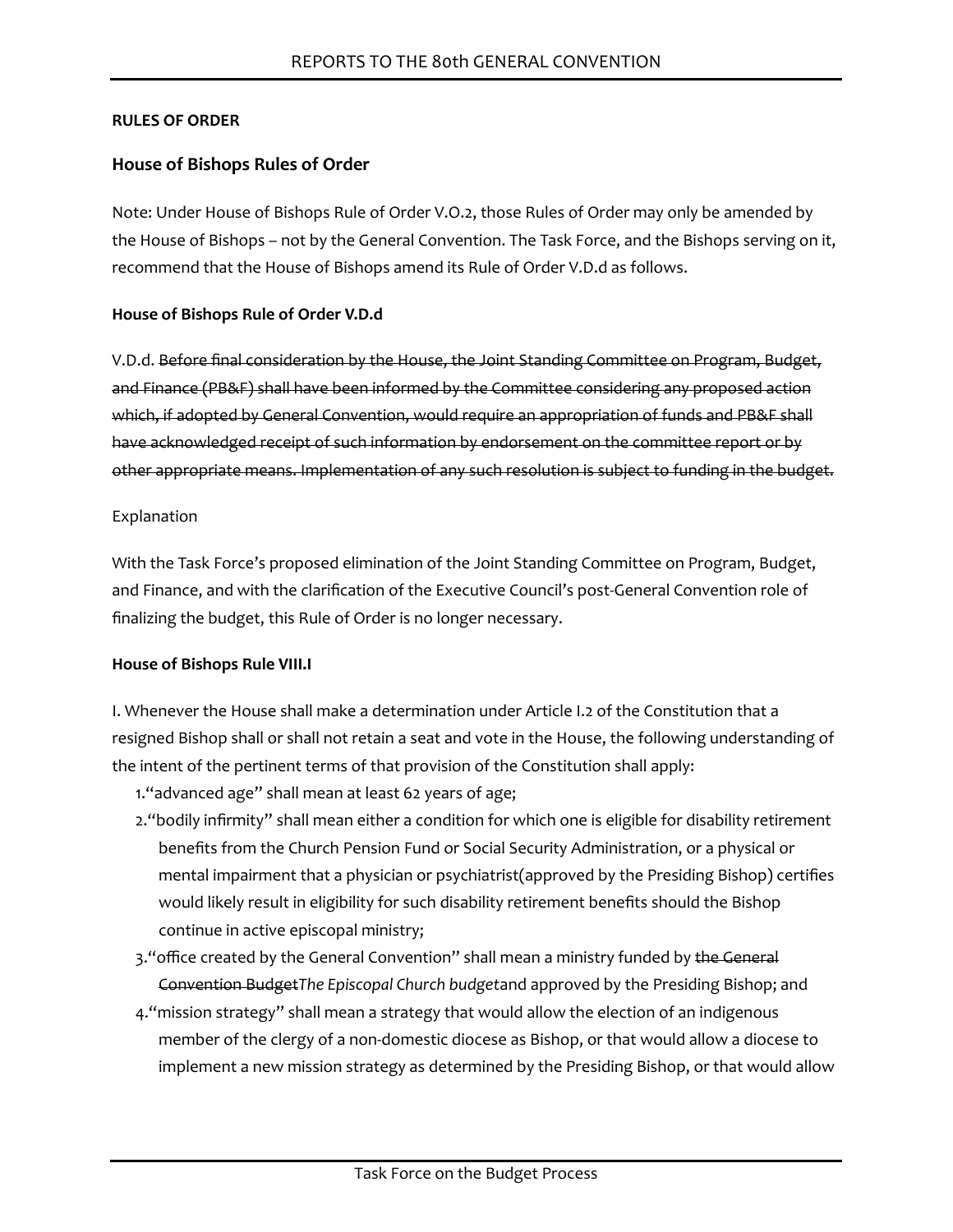#### **RULES OF ORDER**

#### **House of Bishops Rules of Order**

Note: Under House of Bishops Rule of Order V.O.2, those Rules of Order may only be amended by the House of Bishops – not by the General Convention. The Task Force, and the Bishops serving on it, recommend that the House of Bishops amend its Rule of Order V.D.d as follows.

#### **House of Bishops Rule of Order V.D.d**

V.D.d. Before final consideration by the House, the Joint Standing Committee on Program, Budget, and Finance (PB&F) shall have been informed by the Committee considering any proposed action which, if adopted by General Convention, would require an appropriation of funds and PB&F shall have acknowledged receipt of such information by endorsement on the committee report or by other appropriate means. Implementation of any such resolution is subject to funding in the budget.

#### Explanation

With the Task Force's proposed elimination of the Joint Standing Committee on Program, Budget, and Finance, and with the clarification of the Executive Council's post-General Convention role of finalizing the budget, this Rule of Order is no longer necessary.

#### **House of Bishops Rule VIII.I**

I. Whenever the House shall make a determination under Article I.2 of the Constitution that a resigned Bishop shall or shall not retain a seat and vote in the House, the following understanding of the intent of the pertinent terms of that provision of the Constitution shall apply:

- 1."advanced age" shall mean at least 62 years of age;
- 2."bodily infirmity" shall mean either a condition for which one is eligible for disability retirement benefits from the Church Pension Fund or Social Security Administration, or a physical or mental impairment that a physician or psychiatrist(approved by the Presiding Bishop) certifies would likely result in eligibility for such disability retirement benefits should the Bishop continue in active episcopal ministry;
- 3. "office created by the General Convention" shall mean a ministry funded by the General Convention Budget*The Episcopal Church budget*and approved by the Presiding Bishop; and
- 4."mission strategy" shall mean a strategy that would allow the election of an indigenous member of the clergy of a non-domestic diocese as Bishop, or that would allow a diocese to implement a new mission strategy as determined by the Presiding Bishop, or that would allow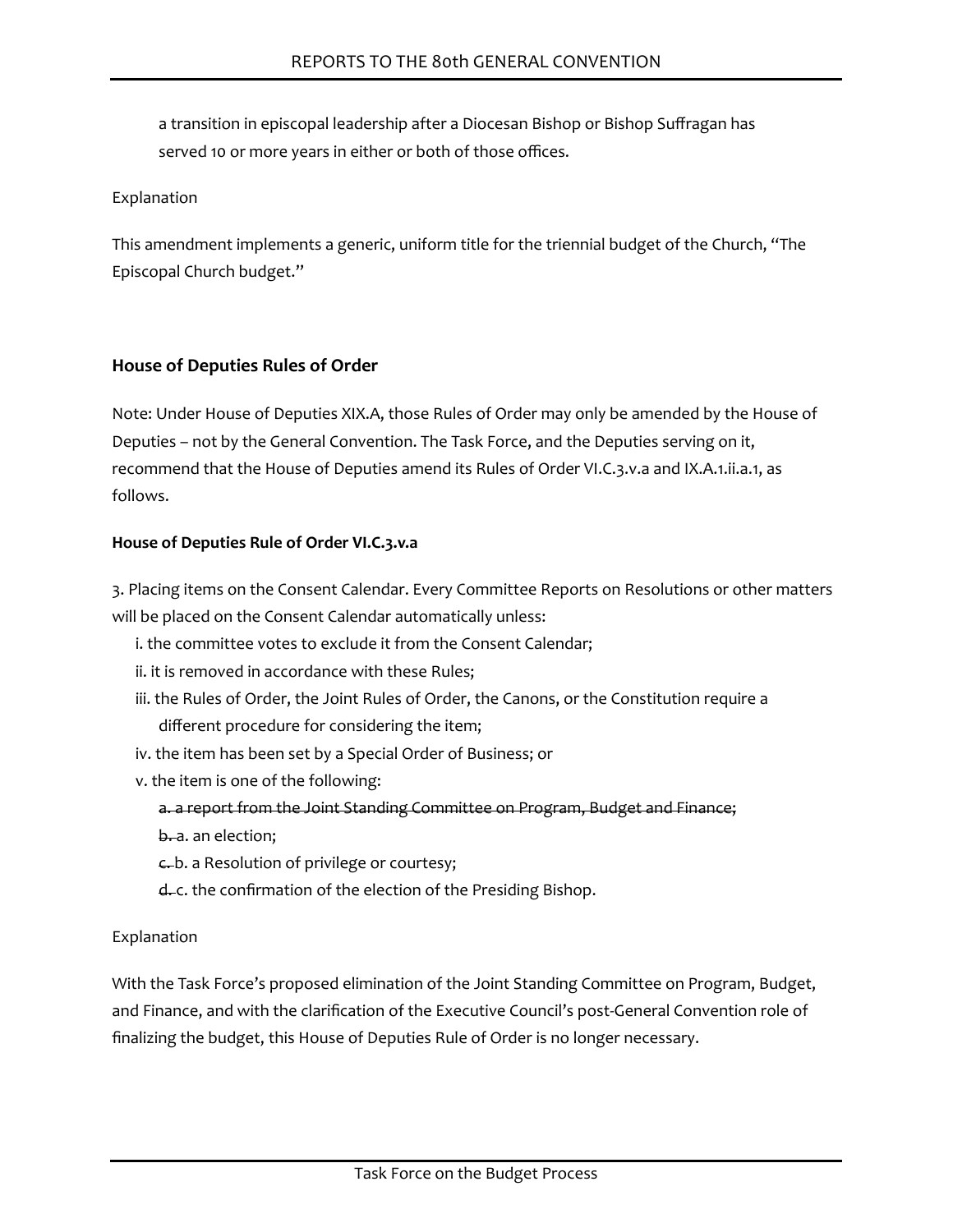a transition in episcopal leadership after a Diocesan Bishop or Bishop Suffragan has served 10 or more years in either or both of those offices.

## Explanation

This amendment implements a generic, uniform title for the triennial budget of the Church, "The Episcopal Church budget."

## **House of Deputies Rules of Order**

Note: Under House of Deputies XIX.A, those Rules of Order may only be amended by the House of Deputies – not by the General Convention. The Task Force, and the Deputies serving on it, recommend that the House of Deputies amend its Rules of Order VI.C.3.v.a and IX.A.1.ii.a.1, as follows.

#### **House of Deputies Rule of Order VI.C.3.v.a**

3. Placing items on the Consent Calendar. Every Committee Reports on Resolutions or other matters will be placed on the Consent Calendar automatically unless:

- i. the committee votes to exclude it from the Consent Calendar;
- ii. it is removed in accordance with these Rules;
- iii. the Rules of Order, the Joint Rules of Order, the Canons, or the Constitution require a different procedure for considering the item;
- iv. the item has been set by a Special Order of Business; or
- v. the item is one of the following:
	- a. a report from the Joint Standing Committee on Program, Budget and Finance;
	- b. a. an election;
	- c. b. a Resolution of privilege or courtesy;
	- d. c. the confirmation of the election of the Presiding Bishop.

## Explanation

With the Task Force's proposed elimination of the Joint Standing Committee on Program, Budget, and Finance, and with the clarification of the Executive Council's post-General Convention role of finalizing the budget, this House of Deputies Rule of Order is no longer necessary.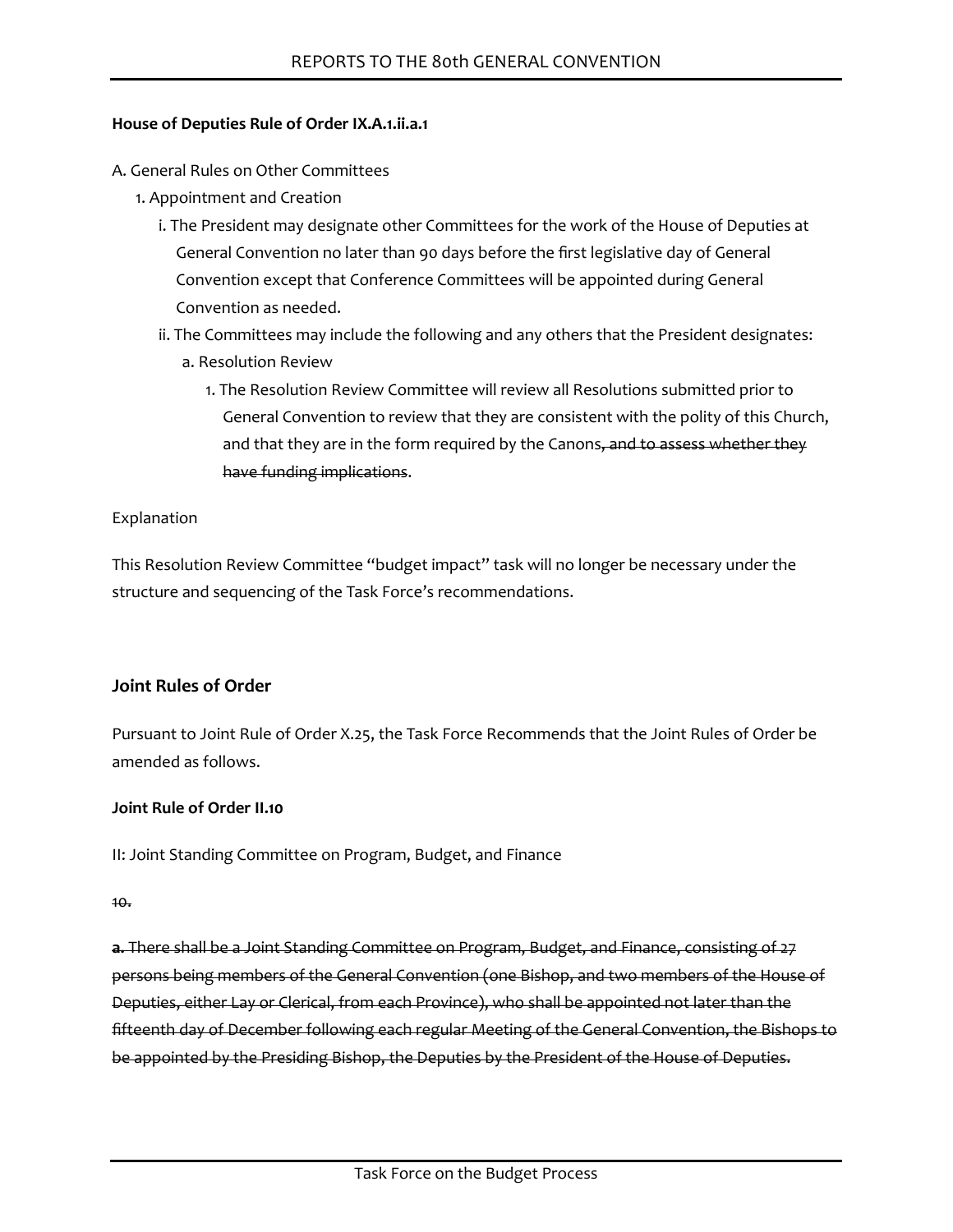### **House of Deputies Rule of Order IX.A.1.ii.a.1**

### A. General Rules on Other Committees

- 1. Appointment and Creation
	- i. The President may designate other Committees for the work of the House of Deputies at General Convention no later than 90 days before the first legislative day of General Convention except that Conference Committees will be appointed during General Convention as needed.
	- ii. The Committees may include the following and any others that the President designates:
		- a. Resolution Review
			- 1. The Resolution Review Committee will review all Resolutions submitted prior to General Convention to review that they are consistent with the polity of this Church, and that they are in the form required by the Canons, and to assess whether they have funding implications.

#### Explanation

This Resolution Review Committee "budget impact" task will no longer be necessary under the structure and sequencing of the Task Force's recommendations.

## **Joint Rules of Order**

Pursuant to Joint Rule of Order X.25, the Task Force Recommends that the Joint Rules of Order be amended as follows.

#### **Joint Rule of Order II.10**

II: Joint Standing Committee on Program, Budget, and Finance

#### 10.

**a.** There shall be a Joint Standing Committee on Program, Budget, and Finance, consisting of 27 persons being members of the General Convention (one Bishop, and two members of the House of Deputies, either Lay or Clerical, from each Province), who shall be appointed not later than the fifteenth day of December following each regular Meeting of the General Convention, the Bishops to be appointed by the Presiding Bishop, the Deputies by the President of the House of Deputies.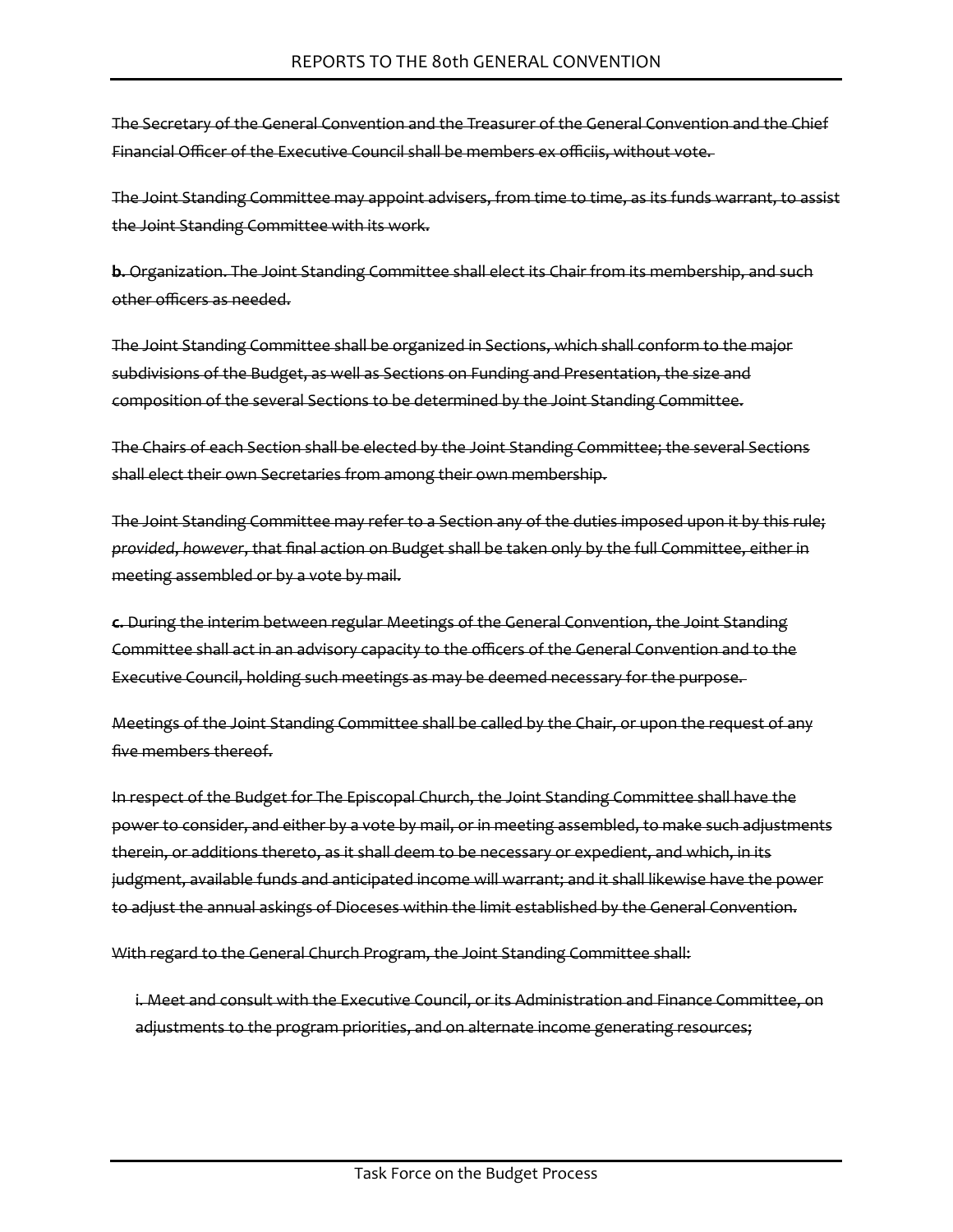The Secretary of the General Convention and the Treasurer of the General Convention and the Chief Financial Officer of the Executive Council shall be members ex officiis, without vote.

The Joint Standing Committee may appoint advisers, from time to time, as its funds warrant, to assist the Joint Standing Committee with its work.

**b.** Organization. The Joint Standing Committee shall elect its Chair from its membership, and such other officers as needed.

The Joint Standing Committee shall be organized in Sections, which shall conform to the major subdivisions of the Budget, as well as Sections on Funding and Presentation, the size and composition of the several Sections to be determined by the Joint Standing Committee.

The Chairs of each Section shall be elected by the Joint Standing Committee; the several Sections shall elect their own Secretaries from among their own membership.

The Joint Standing Committee may refer to a Section any of the duties imposed upon it by this rule; *provided*, *however*, that final action on Budget shall be taken only by the full Committee, either in meeting assembled or by a vote by mail.

**c.** During the interim between regular Meetings of the General Convention, the Joint Standing Committee shall act in an advisory capacity to the officers of the General Convention and to the Executive Council, holding such meetings as may be deemed necessary for the purpose.

Meetings of the Joint Standing Committee shall be called by the Chair, or upon the request of any five members thereof.

In respect of the Budget for The Episcopal Church, the Joint Standing Committee shall have the power to consider, and either by a vote by mail, or in meeting assembled, to make such adjustments therein, or additions thereto, as it shall deem to be necessary or expedient, and which, in its judgment, available funds and anticipated income will warrant; and it shall likewise have the power to adjust the annual askings of Dioceses within the limit established by the General Convention.

With regard to the General Church Program, the Joint Standing Committee shall:

i. Meet and consult with the Executive Council, or its Administration and Finance Committee, on adjustments to the program priorities, and on alternate income generating resources;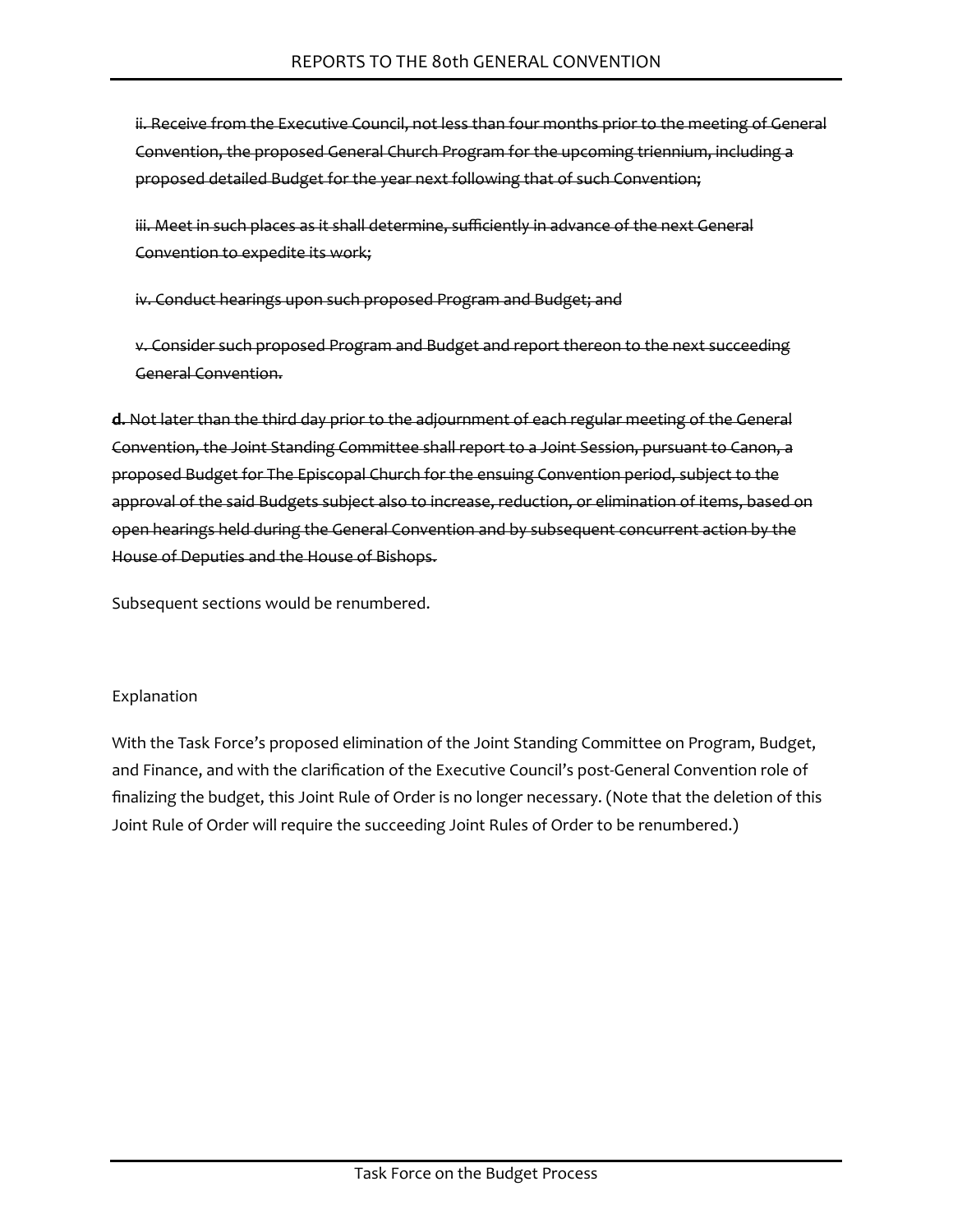ii. Receive from the Executive Council, not less than four months prior to the meeting of General Convention, the proposed General Church Program for the upcoming triennium, including a proposed detailed Budget for the year next following that of such Convention;

iii. Meet in such places as it shall determine, sufficiently in advance of the next General Convention to expedite its work;

iv. Conduct hearings upon such proposed Program and Budget; and

v. Consider such proposed Program and Budget and report thereon to the next succeeding General Convention.

**d.** Not later than the third day prior to the adjournment of each regular meeting of the General Convention, the Joint Standing Committee shall report to a Joint Session, pursuant to Canon, a proposed Budget for The Episcopal Church for the ensuing Convention period, subject to the approval of the said Budgets subject also to increase, reduction, or elimination of items, based on open hearings held during the General Convention and by subsequent concurrent action by the House of Deputies and the House of Bishops.

Subsequent sections would be renumbered.

#### Explanation

With the Task Force's proposed elimination of the Joint Standing Committee on Program, Budget, and Finance, and with the clarification of the Executive Council's post-General Convention role of finalizing the budget, this Joint Rule of Order is no longer necessary. (Note that the deletion of this Joint Rule of Order will require the succeeding Joint Rules of Order to be renumbered.)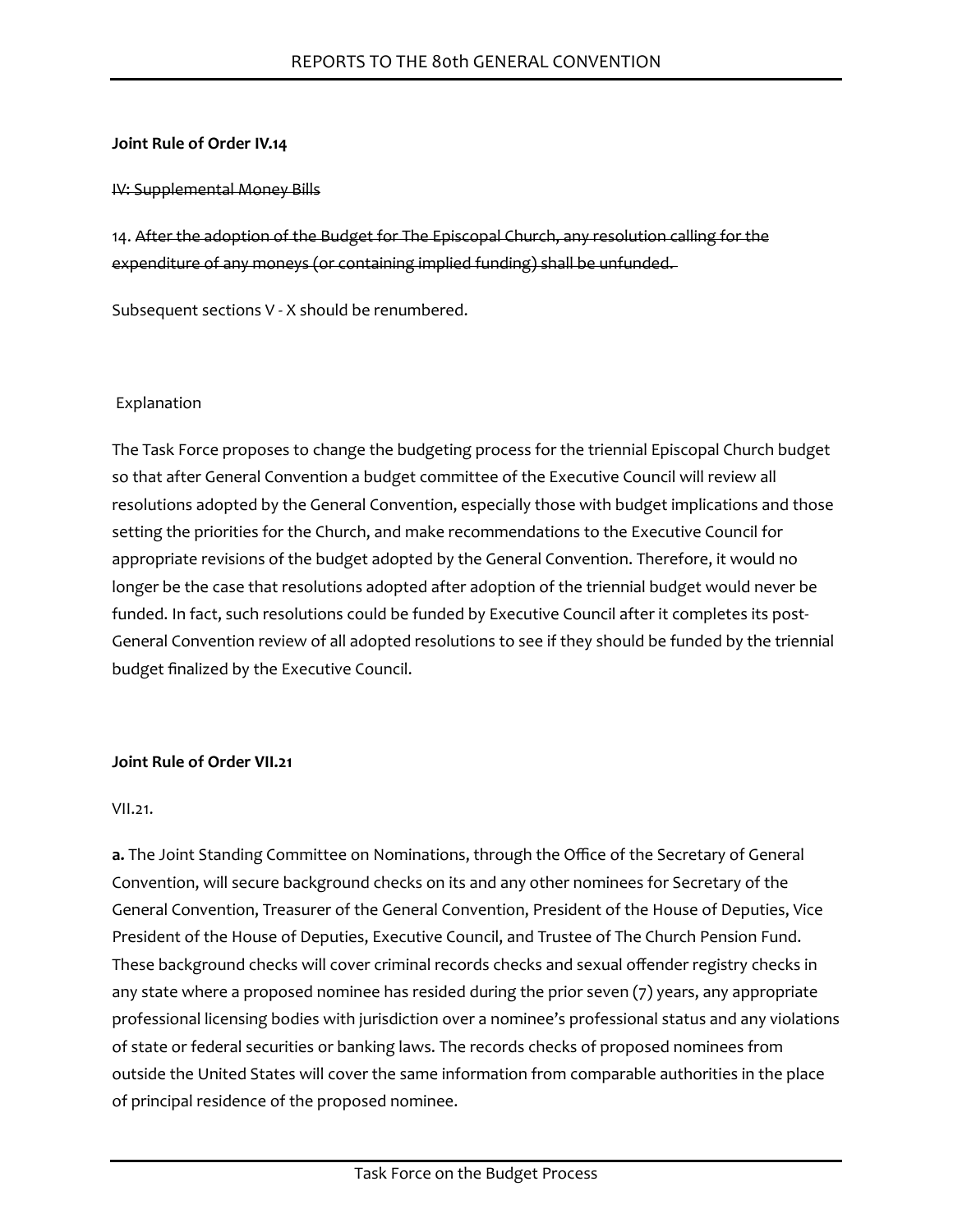#### **Joint Rule of Order IV.14**

#### IV: Supplemental Money Bills

14. After the adoption of the Budget for The Episcopal Church, any resolution calling for the expenditure of any moneys (or containing implied funding) shall be unfunded.

Subsequent sections V - X should be renumbered.

#### Explanation

The Task Force proposes to change the budgeting process for the triennial Episcopal Church budget so that after General Convention a budget committee of the Executive Council will review all resolutions adopted by the General Convention, especially those with budget implications and those setting the priorities for the Church, and make recommendations to the Executive Council for appropriate revisions of the budget adopted by the General Convention. Therefore, it would no longer be the case that resolutions adopted after adoption of the triennial budget would never be funded. In fact, such resolutions could be funded by Executive Council after it completes its post-General Convention review of all adopted resolutions to see if they should be funded by the triennial budget finalized by the Executive Council.

#### **Joint Rule of Order VII.21**

#### VII.21.

**a.** The Joint Standing Committee on Nominations, through the Office of the Secretary of General Convention, will secure background checks on its and any other nominees for Secretary of the General Convention, Treasurer of the General Convention, President of the House of Deputies, Vice President of the House of Deputies, Executive Council, and Trustee of The Church Pension Fund. These background checks will cover criminal records checks and sexual offender registry checks in any state where a proposed nominee has resided during the prior seven (7) years, any appropriate professional licensing bodies with jurisdiction over a nominee's professional status and any violations of state or federal securities or banking laws. The records checks of proposed nominees from outside the United States will cover the same information from comparable authorities in the place of principal residence of the proposed nominee.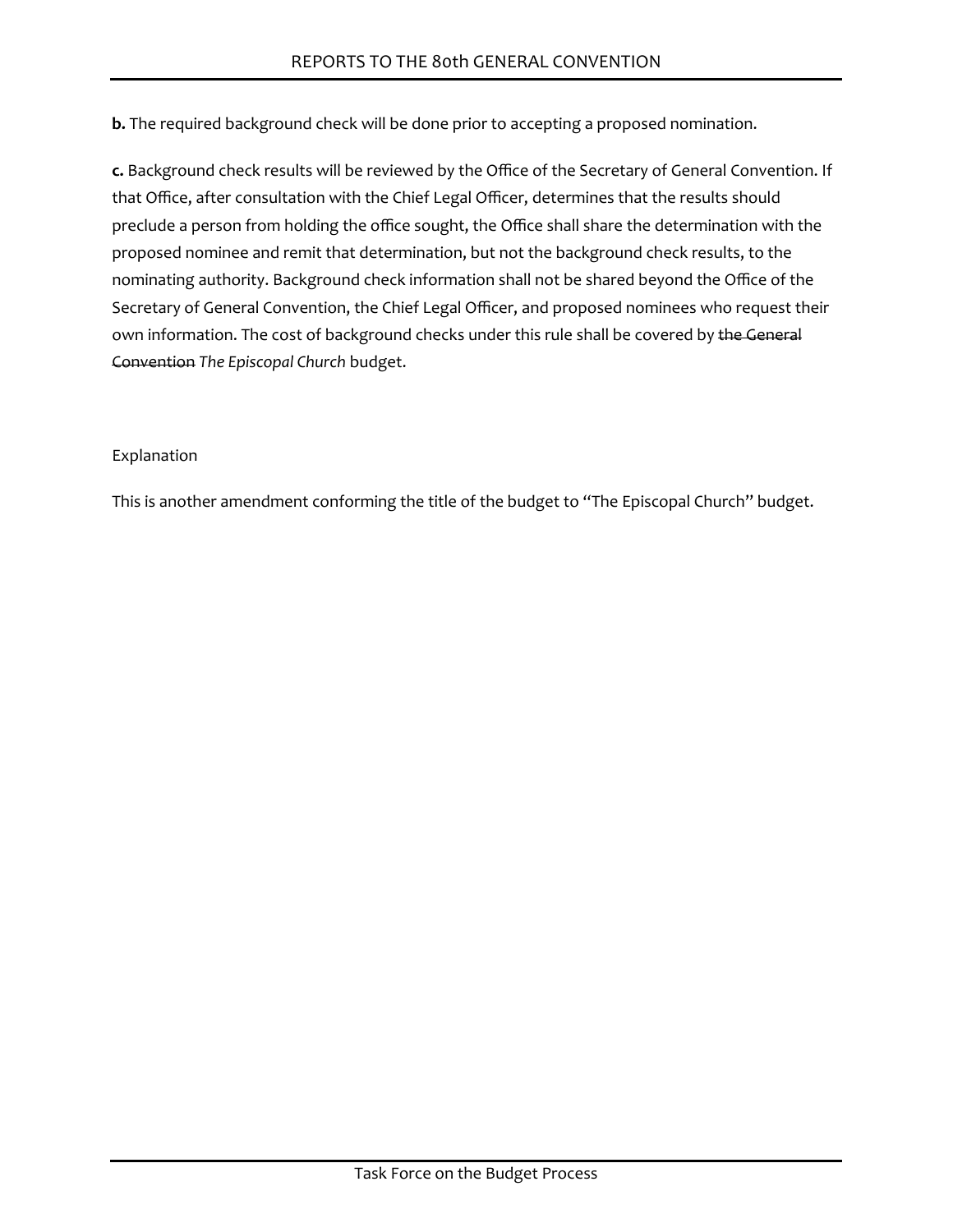**b.** The required background check will be done prior to accepting a proposed nomination.

**c.** Background check results will be reviewed by the Office of the Secretary of General Convention. If that Office, after consultation with the Chief Legal Officer, determines that the results should preclude a person from holding the office sought, the Office shall share the determination with the proposed nominee and remit that determination, but not the background check results, to the nominating authority. Background check information shall not be shared beyond the Office of the Secretary of General Convention, the Chief Legal Officer, and proposed nominees who request their own information. The cost of background checks under this rule shall be covered by the General Convention *The Episcopal Church* budget.

#### Explanation

This is another amendment conforming the title of the budget to "The Episcopal Church" budget.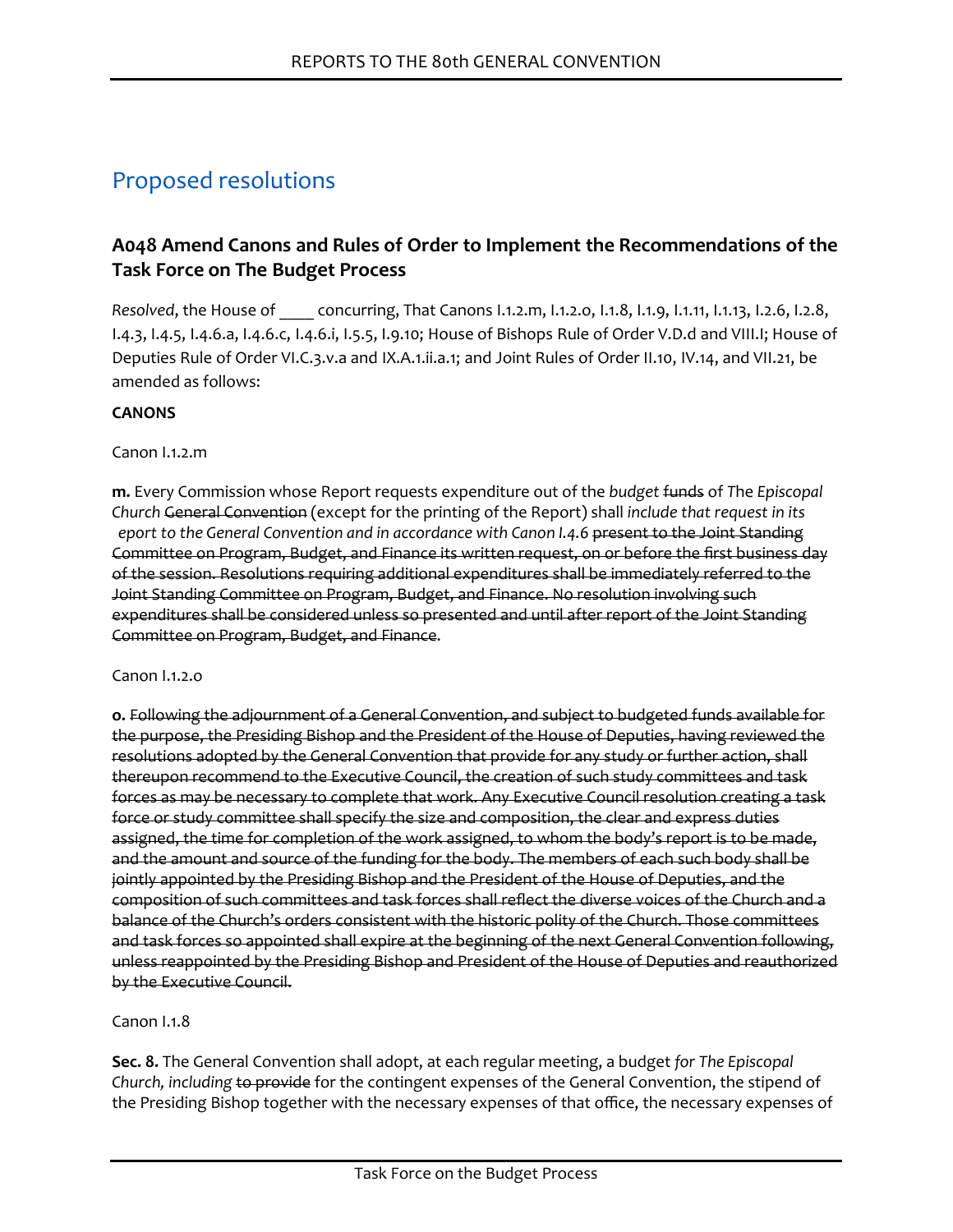## **Proposed resolutions**

## A048 Amend Canons and Rules of Order to Implement the Recommendations of the **Task Force on The Budget Process**

Resolved, the House of concurring, That Canons I.1.2.m, I.1.2.o, I.1.8, I.1.9, I.1.11, I.1.13, I.2.6, I.2.8, I.4.3, I.4.5, I.4.6.a, I.4.6.c, I.4.6.i, I.5.5, I.9.10; House of Bishops Rule of Order V.D.d and VIII.I; House of Deputies Rule of Order VI.C.3.v.a and IX.A.1.ii.a.1; and Joint Rules of Order II.10, IV.14, and VII.21, be amended as follows:

## **CANONS**

#### Canon  $l.1.2.m$

**m.** Every Commission whose Report requests expenditure out of the budget funds of The Episcopal Church General Convention (except for the printing of the Report) shall include that request in its eport to the General Convention and in accordance with Canon I.4.6 present to the Joint Standing Committee on Program, Budget, and Finance its written request, on or before the first business day of the session. Resolutions requiring additional expenditures shall be immediately referred to the Joint Standing Committee on Program, Budget, and Finance. No resolution involving such expenditures shall be considered unless so presented and until after report of the Joint Standing Committee on Program, Budget, and Finance.

#### Canon I.1.2.0

o. Following the adjournment of a General Convention, and subject to budgeted funds available for the purpose, the Presiding Bishop and the President of the House of Deputies, having reviewed the resolutions adopted by the General Convention that provide for any study or further action, shall thereupon recommend to the Executive Council, the creation of such study committees and task forces as may be necessary to complete that work. Any Executive Council resolution creating a task force or study committee shall specify the size and composition, the clear and express duties assigned, the time for completion of the work assigned, to whom the body's report is to be made, and the amount and source of the funding for the body. The members of each such body shall be jointly appointed by the Presiding Bishop and the President of the House of Deputies, and the composition of such committees and task forces shall reflect the diverse voices of the Church and a balance of the Church's orders consistent with the historic polity of the Church. Those committees and task forces so appointed shall expire at the beginning of the next General Convention following, unless reappointed by the Presiding Bishop and President of the House of Deputies and reauthorized by the Executive Council.

#### Canon I.1.8

Sec. 8. The General Convention shall adopt, at each regular meeting, a budget for The Episcopal Church, including to provide for the contingent expenses of the General Convention, the stipend of the Presiding Bishop together with the necessary expenses of that office, the necessary expenses of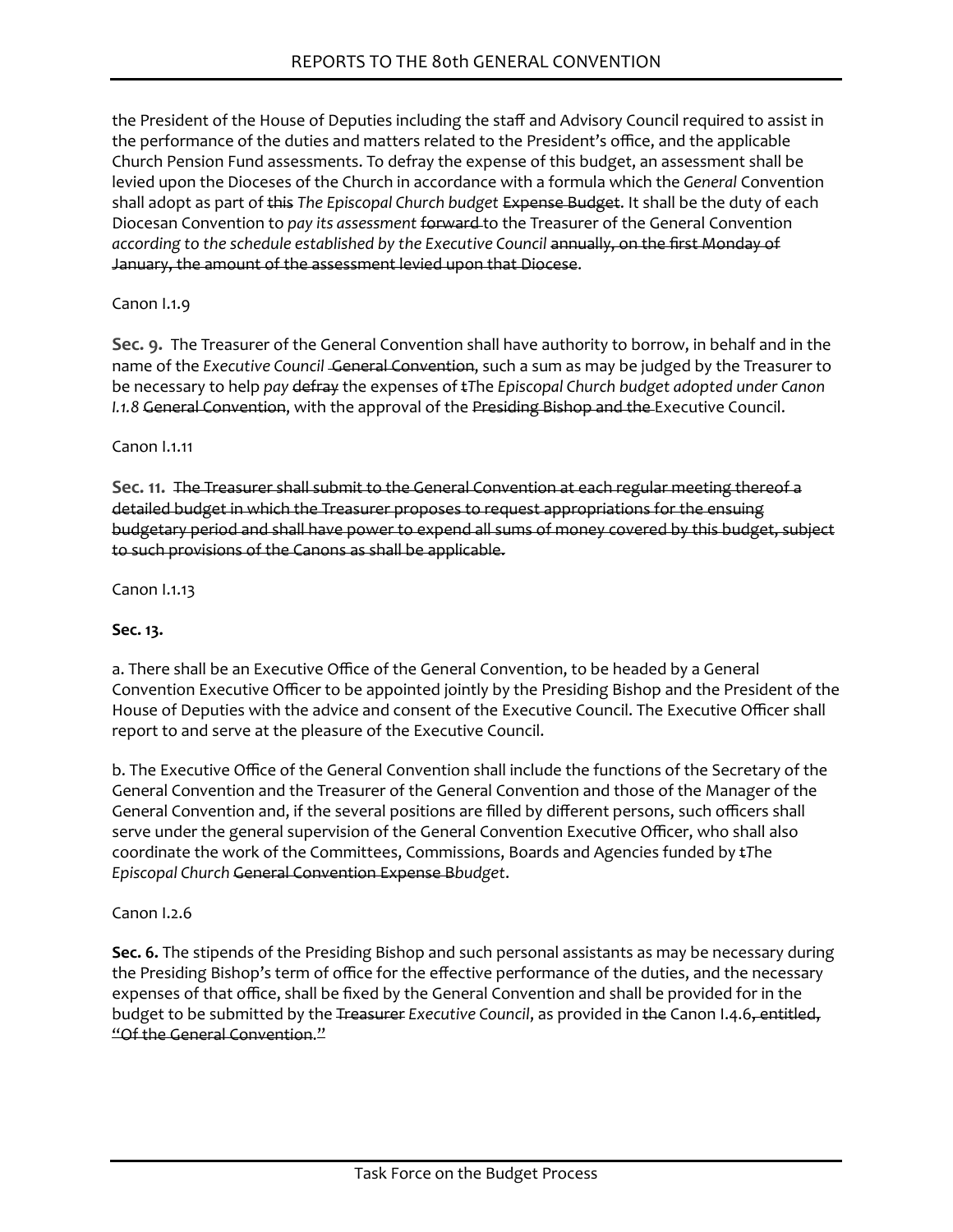the President of the House of Deputies including the staff and Advisory Council required to assist in the performance of the duties and matters related to the President's office, and the applicable Church Pension Fund assessments. To defray the expense of this budget, an assessment shall be levied upon the Dioceses of the Church in accordance with a formula which the *General* Convention shall adopt as part of this *The Episcopal Church budget* Expense Budget. It shall be the duty of each Diocesan Convention to *pay its assessment* forward to the Treasurer of the General Convention *according to the schedule established by the Executive Council* annually, on the first Monday of January, the amount of the assessment levied upon that Diocese.

### Canon I.1.9

**Sec. 9.** The Treasurer of the General Convention shall have authority to borrow, in behalf and in the name of the *Executive Council* General Convention, such a sum as may be judged by the Treasurer to be necessary to help *pay* defray the expenses of t*T*he *Episcopal Church budget adopted under Canon I.1.8* General Convention, with the approval of the Presiding Bishop and the Executive Council.

#### Canon I.1.11

**Sec. 11.** The Treasurer shall submit to the General Convention at each regular meeting thereof a detailed budget in which the Treasurer proposes to request appropriations for the ensuing budgetary period and shall have power to expend all sums of money covered by this budget, subject to such provisions of the Canons as shall be applicable.

Canon I.1.13

## **Sec. 13.**

a. There shall be an Executive Office of the General Convention, to be headed by a General Convention Executive Officer to be appointed jointly by the Presiding Bishop and the President of the House of Deputies with the advice and consent of the Executive Council. The Executive Officer shall report to and serve at the pleasure of the Executive Council.

b. The Executive Office of the General Convention shall include the functions of the Secretary of the General Convention and the Treasurer of the General Convention and those of the Manager of the General Convention and, if the several positions are filled by different persons, such officers shall serve under the general supervision of the General Convention Executive Officer, who shall also coordinate the work of the Committees, Commissions, Boards and Agencies funded by t*T*he *Episcopal Church* General Convention Expense B*budget*.

#### Canon I.2.6

**Sec. 6.** The stipends of the Presiding Bishop and such personal assistants as may be necessary during the Presiding Bishop's term of office for the effective performance of the duties, and the necessary expenses of that office, shall be fixed by the General Convention and shall be provided for in the budget to be submitted by the Treasurer *Executive Council*, as provided in the Canon I.4.6, entitled, "Of the General Convention."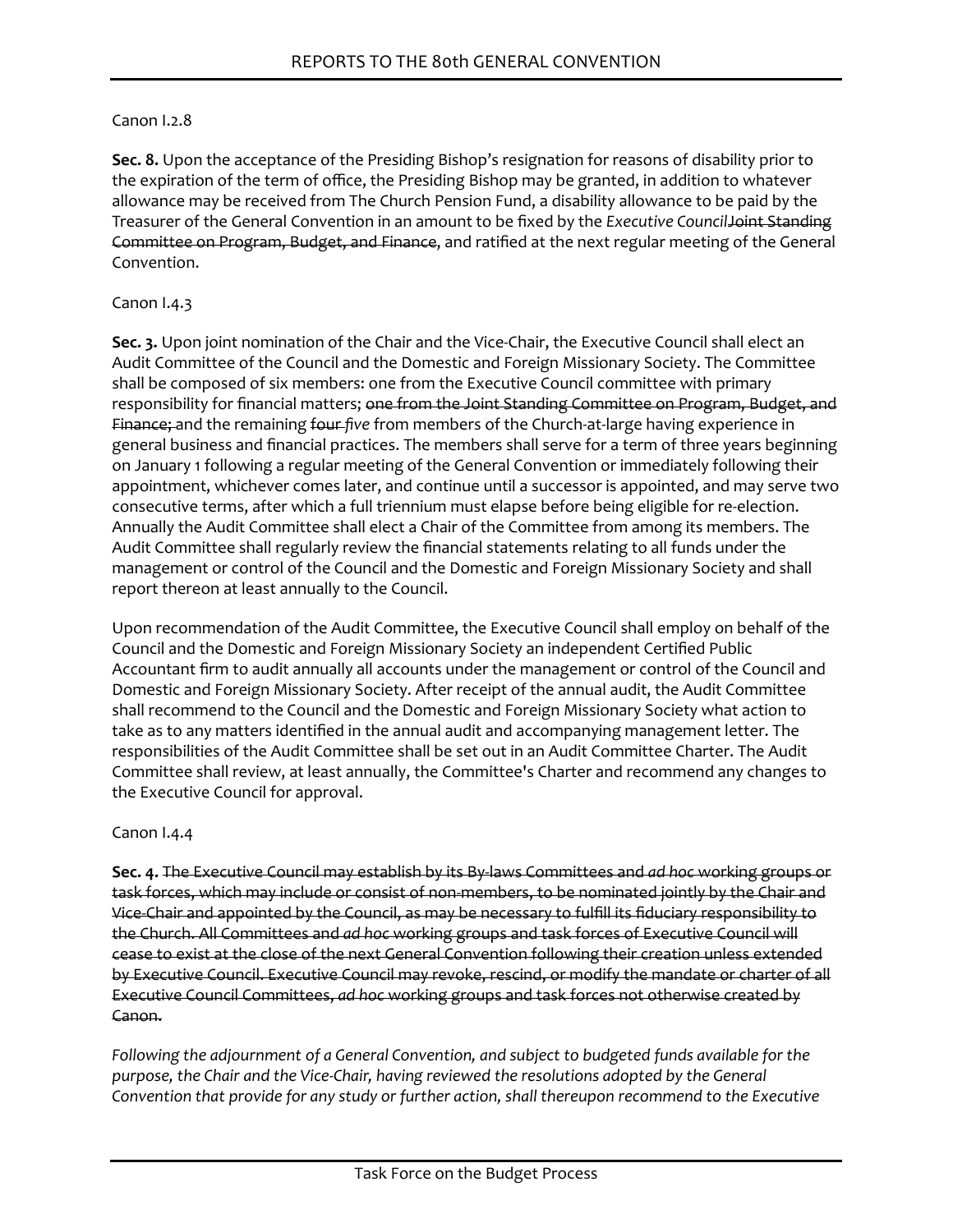## Canon I.2.8

**Sec. 8.** Upon the acceptance of the Presiding Bishop's resignation for reasons of disability prior to the expiration of the term of office, the Presiding Bishop may be granted, in addition to whatever allowance may be received from The Church Pension Fund, a disability allowance to be paid by the Treasurer of the General Convention in an amount to be fixed by the *Executive Council*Joint Standing Committee on Program, Budget, and Finance, and ratified at the next regular meeting of the General Convention.

#### Canon I.4.3

**Sec. 3.** Upon joint nomination of the Chair and the Vice-Chair, the Executive Council shall elect an Audit Committee of the Council and the Domestic and Foreign Missionary Society. The Committee shall be composed of six members: one from the Executive Council committee with primary responsibility for financial matters; one from the Joint Standing Committee on Program, Budget, and Finance; and the remaining four *five* from members of the Church-at-large having experience in general business and financial practices. The members shall serve for a term of three years beginning on January 1 following a regular meeting of the General Convention or immediately following their appointment, whichever comes later, and continue until a successor is appointed, and may serve two consecutive terms, after which a full triennium must elapse before being eligible for re-election. Annually the Audit Committee shall elect a Chair of the Committee from among its members. The Audit Committee shall regularly review the financial statements relating to all funds under the management or control of the Council and the Domestic and Foreign Missionary Society and shall report thereon at least annually to the Council.

Upon recommendation of the Audit Committee, the Executive Council shall employ on behalf of the Council and the Domestic and Foreign Missionary Society an independent Certified Public Accountant firm to audit annually all accounts under the management or control of the Council and Domestic and Foreign Missionary Society. After receipt of the annual audit, the Audit Committee shall recommend to the Council and the Domestic and Foreign Missionary Society what action to take as to any matters identified in the annual audit and accompanying management letter. The responsibilities of the Audit Committee shall be set out in an Audit Committee Charter. The Audit Committee shall review, at least annually, the Committee's Charter and recommend any changes to the Executive Council for approval.

## Canon I.4.4

**Sec. 4.** The Executive Council may establish by its By-laws Committees and *ad hoc* working groups or task forces, which may include or consist of non-members, to be nominated jointly by the Chair and Vice-Chair and appointed by the Council, as may be necessary to fulfill its fiduciary responsibility to the Church. All Committees and *ad hoc* working groups and task forces of Executive Council will cease to exist at the close of the next General Convention following their creation unless extended by Executive Council. Executive Council may revoke, rescind, or modify the mandate or charter of all Executive Council Committees, *ad hoc* working groups and task forces not otherwise created by Canon.

*Following the adjournment of a General Convention, and subject to budgeted funds available for the purpose, the Chair and the Vice-Chair, having reviewed the resolutions adopted by the General Convention that provide for any study or further action, shall thereupon recommend to the Executive*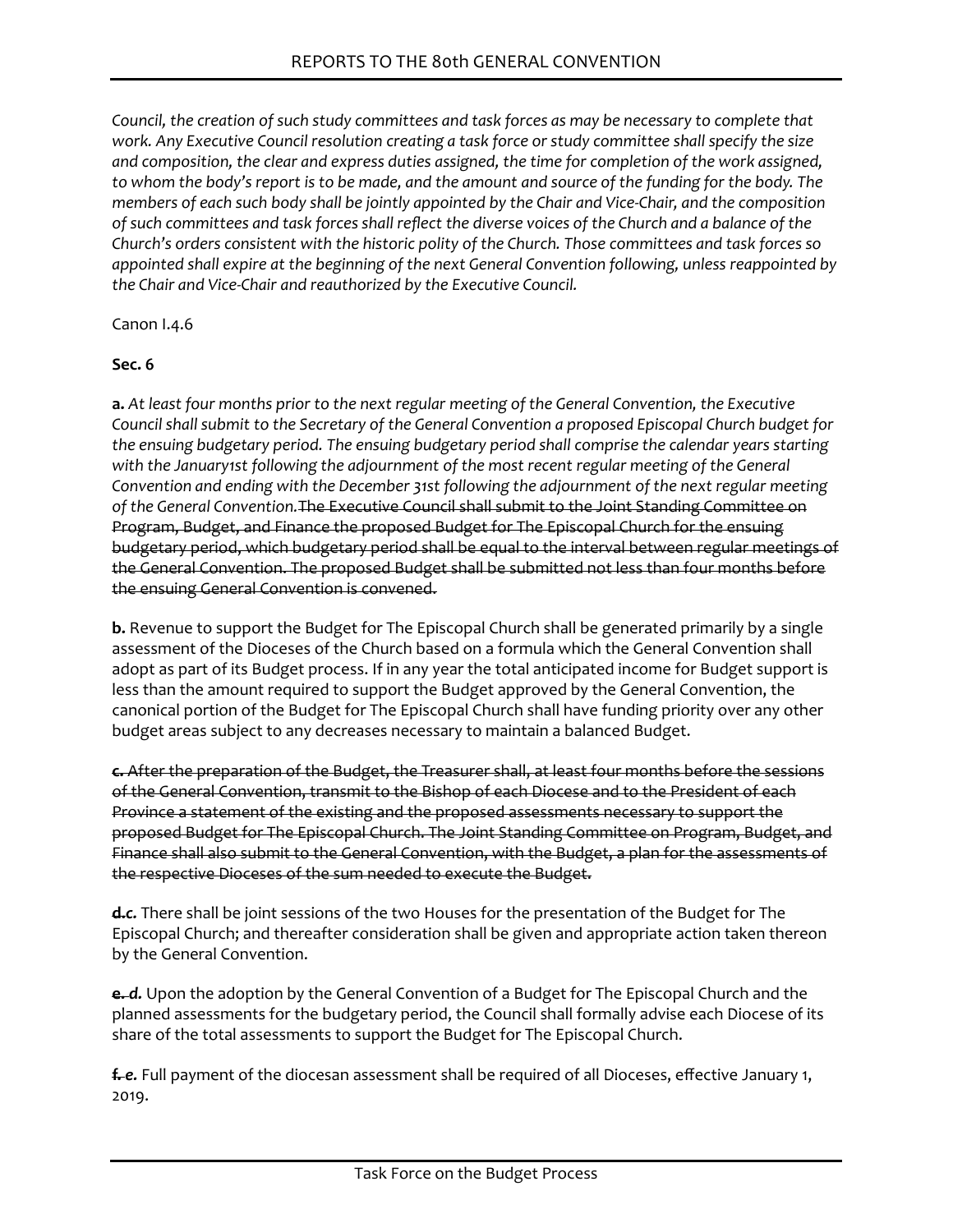*Council, the creation of such study committees and task forces as may be necessary to complete that work. Any Executive Council resolution creating a task force or study committee shall specify the size and composition, the clear and express duties assigned, the time for completion of the work assigned, to whom the body's report is to be made, and the amount and source of the funding for the body. The members of each such body shall be jointly appointed by the Chair and Vice-Chair, and the composition of such committees and task forces shall reflect the diverse voices of the Church and a balance of the Church's orders consistent with the historic polity of the Church. Those committees and task forces so appointed shall expire at the beginning of the next General Convention following, unless reappointed by the Chair and Vice-Chair and reauthorized by the Executive Council.*

Canon I.4.6

## **Sec. 6**

**a.** *At least four months prior to the next regular meeting of the General Convention, the Executive Council shall submit to the Secretary of the General Convention a proposed Episcopal Church budget for the ensuing budgetary period. The ensuing budgetary period shall comprise the calendar years starting with the January1st following the adjournment of the most recent regular meeting of the General Convention and ending with the December 31st following the adjournment of the next regular meeting of the General Convention.*The Executive Council shall submit to the Joint Standing Committee on Program, Budget, and Finance the proposed Budget for The Episcopal Church for the ensuing budgetary period, which budgetary period shall be equal to the interval between regular meetings of the General Convention. The proposed Budget shall be submitted not less than four months before the ensuing General Convention is convened.

**b.** Revenue to support the Budget for The Episcopal Church shall be generated primarily by a single assessment of the Dioceses of the Church based on a formula which the General Convention shall adopt as part of its Budget process. If in any year the total anticipated income for Budget support is less than the amount required to support the Budget approved by the General Convention, the canonical portion of the Budget for The Episcopal Church shall have funding priority over any other budget areas subject to any decreases necessary to maintain a balanced Budget.

**c.** After the preparation of the Budget, the Treasurer shall, at least four months before the sessions of the General Convention, transmit to the Bishop of each Diocese and to the President of each Province a statement of the existing and the proposed assessments necessary to support the proposed Budget for The Episcopal Church. The Joint Standing Committee on Program, Budget, and Finance shall also submit to the General Convention, with the Budget, a plan for the assessments of the respective Dioceses of the sum needed to execute the Budget.

**d.***c.* There shall be joint sessions of the two Houses for the presentation of the Budget for The Episcopal Church; and thereafter consideration shall be given and appropriate action taken thereon by the General Convention.

**e.** *d.* Upon the adoption by the General Convention of a Budget for The Episcopal Church and the planned assessments for the budgetary period, the Council shall formally advise each Diocese of its share of the total assessments to support the Budget for The Episcopal Church.

**f.** *e.* Full payment of the diocesan assessment shall be required of all Dioceses, effective January 1, 2019.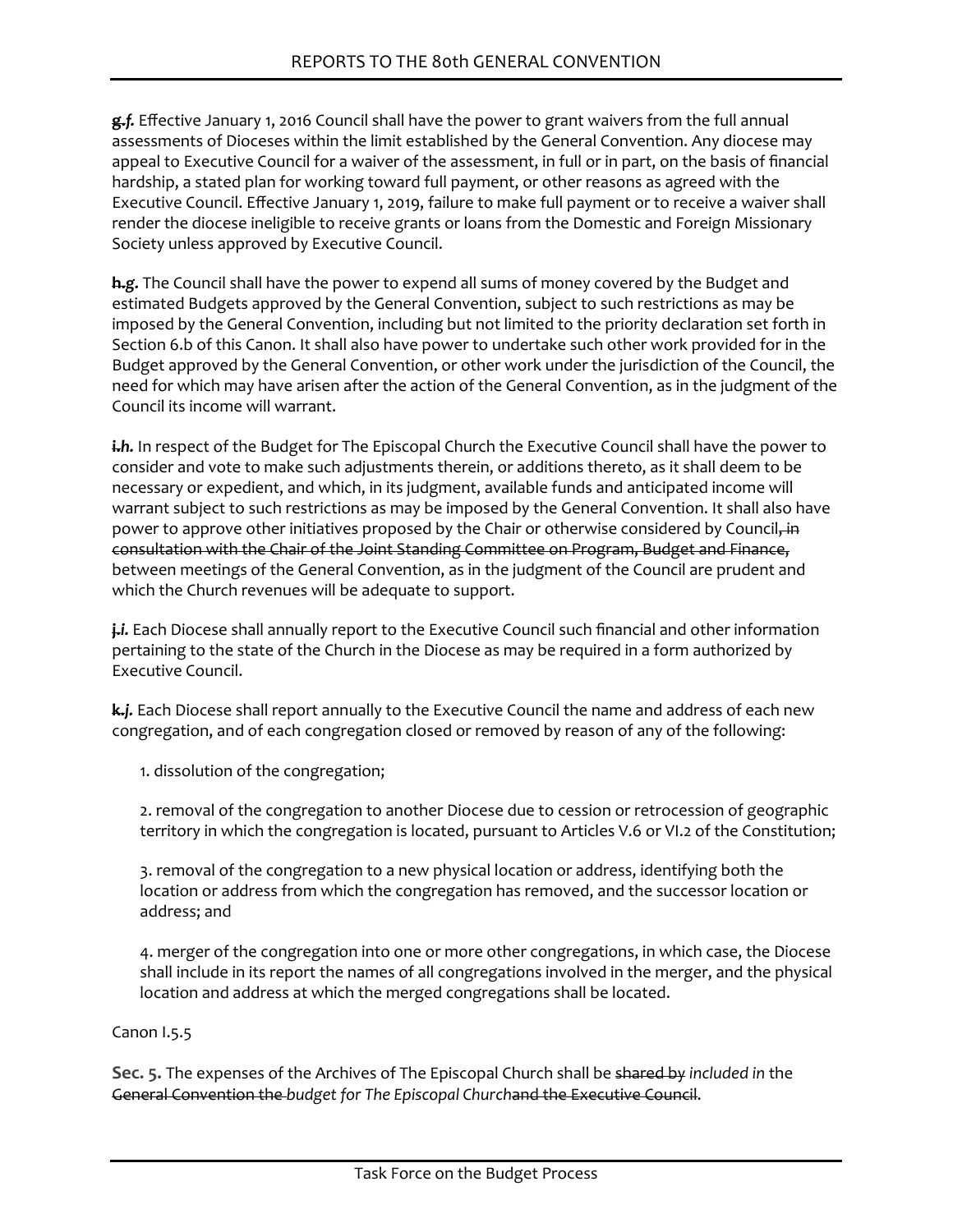**g.***f.* Effective January 1, 2016 Council shall have the power to grant waivers from the full annual assessments of Dioceses within the limit established by the General Convention. Any diocese may appeal to Executive Council for a waiver of the assessment, in full or in part, on the basis of financial hardship, a stated plan for working toward full payment, or other reasons as agreed with the Executive Council. Effective January 1, 2019, failure to make full payment or to receive a waiver shall render the diocese ineligible to receive grants or loans from the Domestic and Foreign Missionary Society unless approved by Executive Council.

**h.***g.* The Council shall have the power to expend all sums of money covered by the Budget and estimated Budgets approved by the General Convention, subject to such restrictions as may be imposed by the General Convention, including but not limited to the priority declaration set forth in Section 6.b of this Canon. It shall also have power to undertake such other work provided for in the Budget approved by the General Convention, or other work under the jurisdiction of the Council, the need for which may have arisen after the action of the General Convention, as in the judgment of the Council its income will warrant.

**i.***h.* In respect of the Budget for The Episcopal Church the Executive Council shall have the power to consider and vote to make such adjustments therein, or additions thereto, as it shall deem to be necessary or expedient, and which, in its judgment, available funds and anticipated income will warrant subject to such restrictions as may be imposed by the General Convention. It shall also have power to approve other initiatives proposed by the Chair or otherwise considered by Council, in consultation with the Chair of the Joint Standing Committee on Program, Budget and Finance, between meetings of the General Convention, as in the judgment of the Council are prudent and which the Church revenues will be adequate to support.

**j.***i.* Each Diocese shall annually report to the Executive Council such financial and other information pertaining to the state of the Church in the Diocese as may be required in a form authorized by Executive Council.

**k.***j.* Each Diocese shall report annually to the Executive Council the name and address of each new congregation, and of each congregation closed or removed by reason of any of the following:

1. dissolution of the congregation;

2. removal of the congregation to another Diocese due to cession or retrocession of geographic territory in which the congregation is located, pursuant to Articles V.6 or VI.2 of the Constitution;

3. removal of the congregation to a new physical location or address, identifying both the location or address from which the congregation has removed, and the successor location or address; and

4. merger of the congregation into one or more other congregations, in which case, the Diocese shall include in its report the names of all congregations involved in the merger, and the physical location and address at which the merged congregations shall be located.

## Canon I.5.5

**Sec. 5.** The expenses of the Archives of The Episcopal Church shall be shared by *included in* the General Convention the *budget for The Episcopal Church*and the Executive Council.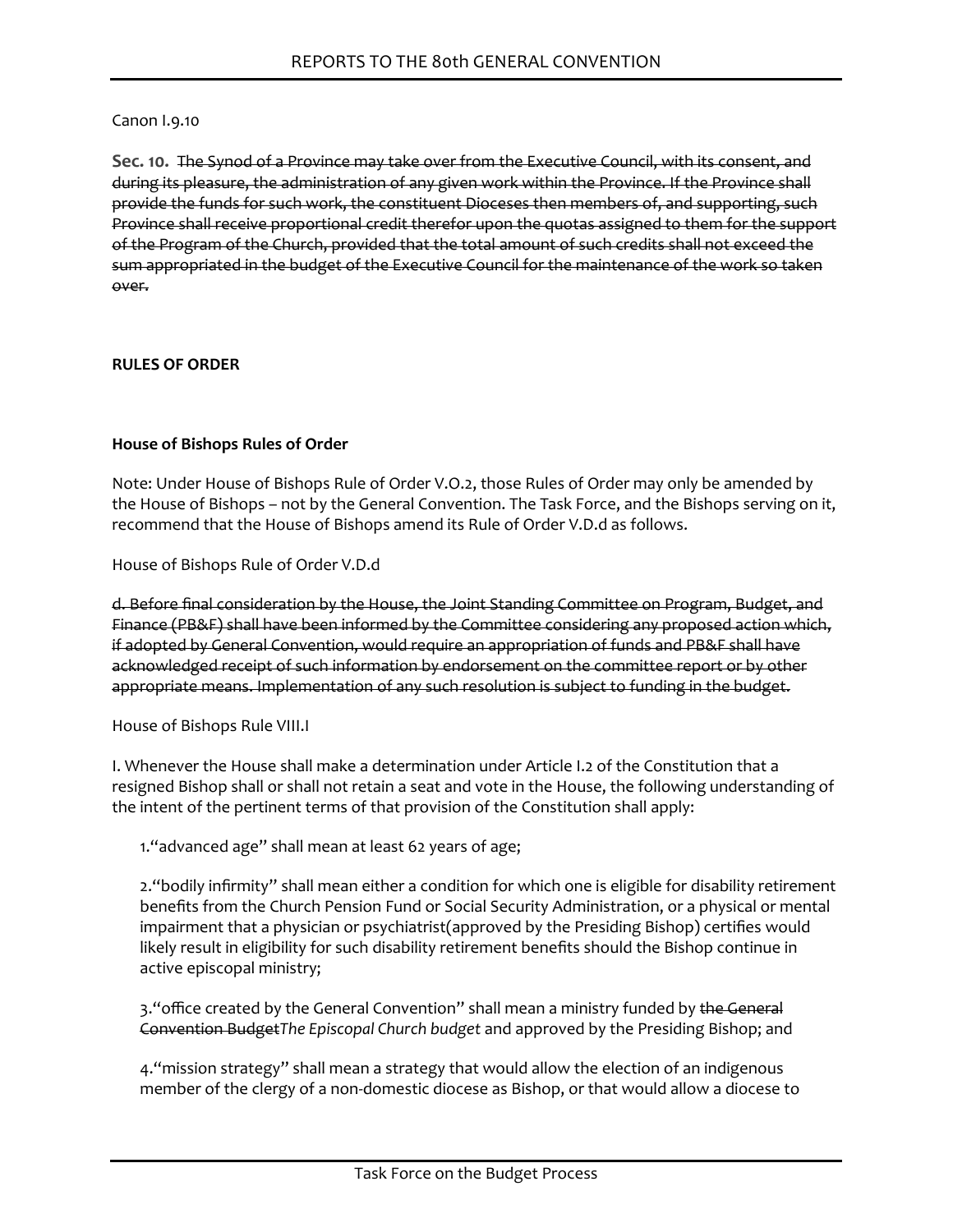#### Canon I.9.10

**Sec. 10.** The Synod of a Province may take over from the Executive Council, with its consent, and during its pleasure, the administration of any given work within the Province. If the Province shall provide the funds for such work, the constituent Dioceses then members of, and supporting, such Province shall receive proportional credit therefor upon the quotas assigned to them for the support of the Program of the Church, provided that the total amount of such credits shall not exceed the sum appropriated in the budget of the Executive Council for the maintenance of the work so taken over.

#### **RULES OF ORDER**

#### **House of Bishops Rules of Order**

Note: Under House of Bishops Rule of Order V.O.2, those Rules of Order may only be amended by the House of Bishops – not by the General Convention. The Task Force, and the Bishops serving on it, recommend that the House of Bishops amend its Rule of Order V.D.d as follows.

House of Bishops Rule of Order V.D.d

d. Before final consideration by the House, the Joint Standing Committee on Program, Budget, and Finance (PB&F) shall have been informed by the Committee considering any proposed action which, if adopted by General Convention, would require an appropriation of funds and PB&F shall have acknowledged receipt of such information by endorsement on the committee report or by other appropriate means. Implementation of any such resolution is subject to funding in the budget.

#### House of Bishops Rule VIII.I

I. Whenever the House shall make a determination under Article I.2 of the Constitution that a resigned Bishop shall or shall not retain a seat and vote in the House, the following understanding of the intent of the pertinent terms of that provision of the Constitution shall apply:

1."advanced age" shall mean at least 62 years of age;

2."bodily infirmity" shall mean either a condition for which one is eligible for disability retirement benefits from the Church Pension Fund or Social Security Administration, or a physical or mental impairment that a physician or psychiatrist(approved by the Presiding Bishop) certifies would likely result in eligibility for such disability retirement benefits should the Bishop continue in active episcopal ministry;

3. "office created by the General Convention" shall mean a ministry funded by the General Convention Budget*The Episcopal Church budget* and approved by the Presiding Bishop; and

4."mission strategy" shall mean a strategy that would allow the election of an indigenous member of the clergy of a non-domestic diocese as Bishop, or that would allow a diocese to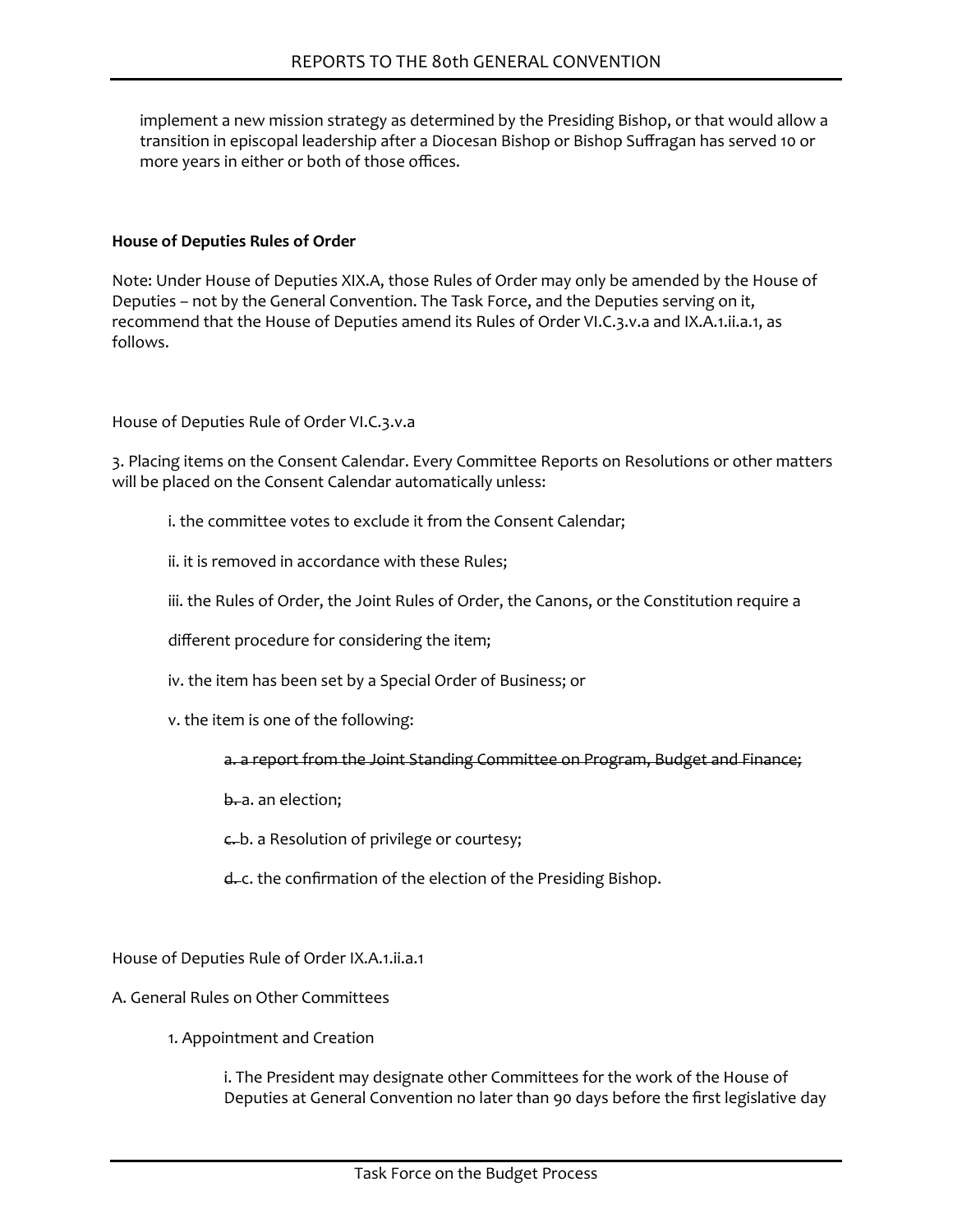implement a new mission strategy as determined by the Presiding Bishop, or that would allow a transition in episcopal leadership after a Diocesan Bishop or Bishop Suffragan has served 10 or more years in either or both of those offices.

#### **House of Deputies Rules of Order**

Note: Under House of Deputies XIX.A, those Rules of Order may only be amended by the House of Deputies – not by the General Convention. The Task Force, and the Deputies serving on it, recommend that the House of Deputies amend its Rules of Order VI.C.3.v.a and IX.A.1.ii.a.1, as follows.

House of Deputies Rule of Order VI.C.3.v.a

3. Placing items on the Consent Calendar. Every Committee Reports on Resolutions or other matters will be placed on the Consent Calendar automatically unless:

i. the committee votes to exclude it from the Consent Calendar;

ii. it is removed in accordance with these Rules;

iii. the Rules of Order, the Joint Rules of Order, the Canons, or the Constitution require a

different procedure for considering the item;

iv. the item has been set by a Special Order of Business; or

v. the item is one of the following:

#### a. a report from the Joint Standing Committee on Program, Budget and Finance;

b. a. an election;

c. b. a Resolution of privilege or courtesy;

d. c. the confirmation of the election of the Presiding Bishop.

House of Deputies Rule of Order IX.A.1.ii.a.1

#### A. General Rules on Other Committees

#### 1. Appointment and Creation

i. The President may designate other Committees for the work of the House of Deputies at General Convention no later than 90 days before the first legislative day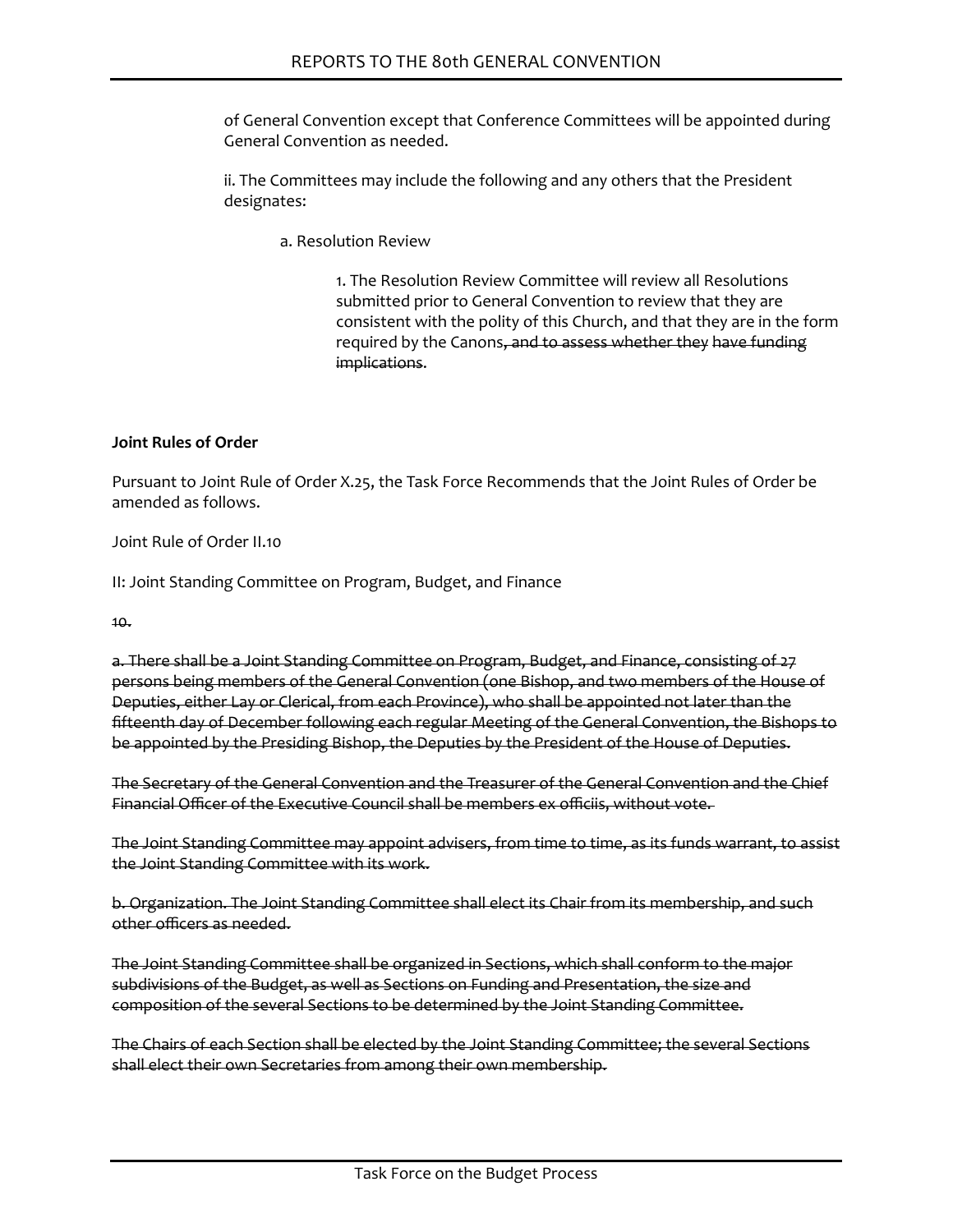of General Convention except that Conference Committees will be appointed during General Convention as needed.

ii. The Committees may include the following and any others that the President designates:

a. Resolution Review

1. The Resolution Review Committee will review all Resolutions submitted prior to General Convention to review that they are consistent with the polity of this Church, and that they are in the form required by the Canons, and to assess whether they have funding implications.

#### **Joint Rules of Order**

Pursuant to Joint Rule of Order X.25, the Task Force Recommends that the Joint Rules of Order be amended as follows.

Joint Rule of Order II.10

II: Joint Standing Committee on Program, Budget, and Finance

10.

a. There shall be a Joint Standing Committee on Program, Budget, and Finance, consisting of 27 persons being members of the General Convention (one Bishop, and two members of the House of Deputies, either Lay or Clerical, from each Province), who shall be appointed not later than the fifteenth day of December following each regular Meeting of the General Convention, the Bishops to be appointed by the Presiding Bishop, the Deputies by the President of the House of Deputies.

The Secretary of the General Convention and the Treasurer of the General Convention and the Chief Financial Officer of the Executive Council shall be members ex officiis, without vote.

The Joint Standing Committee may appoint advisers, from time to time, as its funds warrant, to assist the Joint Standing Committee with its work.

b. Organization. The Joint Standing Committee shall elect its Chair from its membership, and such other officers as needed.

The Joint Standing Committee shall be organized in Sections, which shall conform to the major subdivisions of the Budget, as well as Sections on Funding and Presentation, the size and composition of the several Sections to be determined by the Joint Standing Committee.

The Chairs of each Section shall be elected by the Joint Standing Committee; the several Sections shall elect their own Secretaries from among their own membership.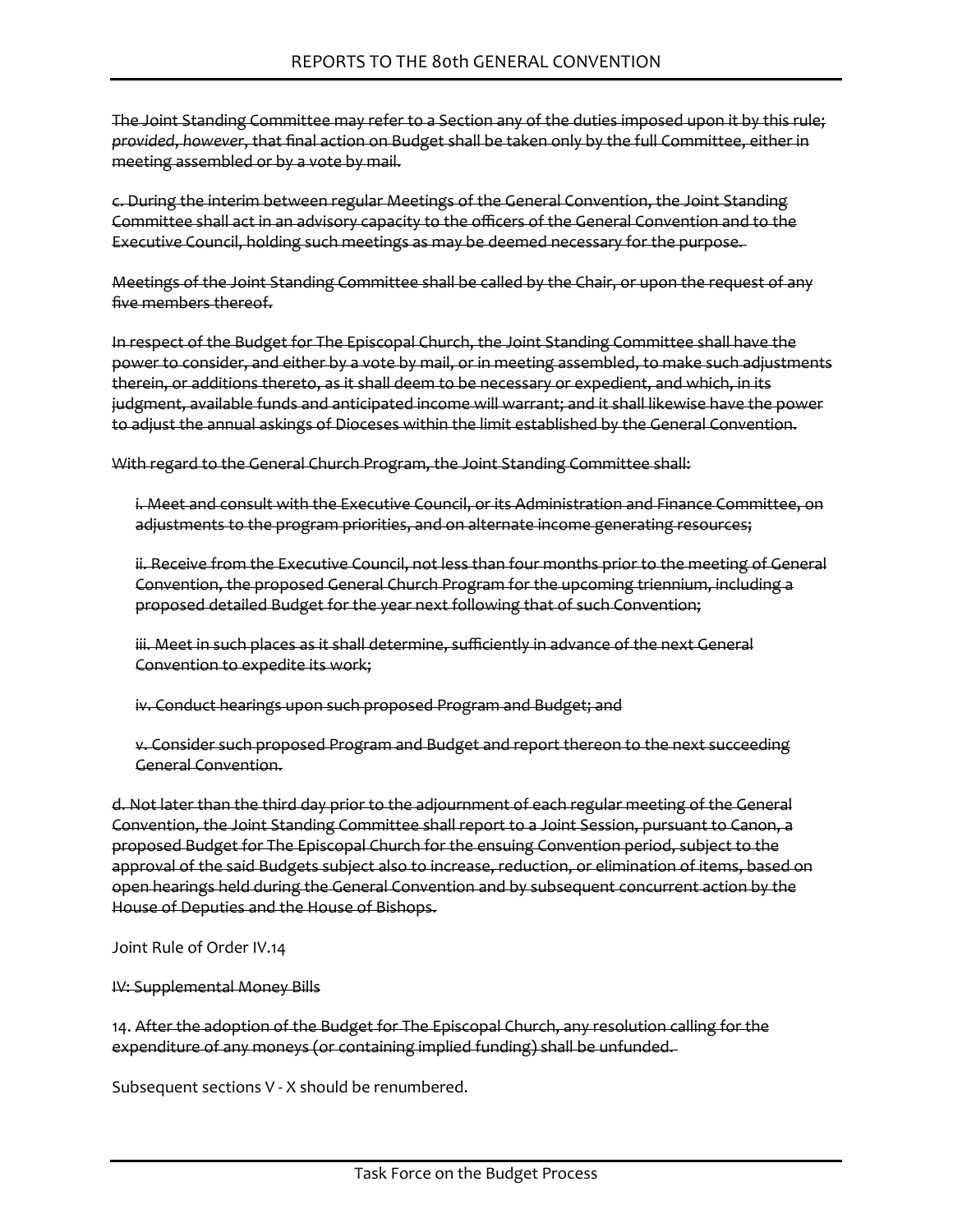The Joint Standing Committee may refer to a Section any of the duties imposed upon it by this rule; *provided*, *however*, that final action on Budget shall be taken only by the full Committee, either in meeting assembled or by a vote by mail.

c. During the interim between regular Meetings of the General Convention, the Joint Standing Committee shall act in an advisory capacity to the officers of the General Convention and to the Executive Council, holding such meetings as may be deemed necessary for the purpose.

Meetings of the Joint Standing Committee shall be called by the Chair, or upon the request of any five members thereof.

In respect of the Budget for The Episcopal Church, the Joint Standing Committee shall have the power to consider, and either by a vote by mail, or in meeting assembled, to make such adjustments therein, or additions thereto, as it shall deem to be necessary or expedient, and which, in its judgment, available funds and anticipated income will warrant; and it shall likewise have the power to adjust the annual askings of Dioceses within the limit established by the General Convention.

With regard to the General Church Program, the Joint Standing Committee shall:

i. Meet and consult with the Executive Council, or its Administration and Finance Committee, on adjustments to the program priorities, and on alternate income generating resources;

ii. Receive from the Executive Council, not less than four months prior to the meeting of General Convention, the proposed General Church Program for the upcoming triennium, including a proposed detailed Budget for the year next following that of such Convention;

iii. Meet in such places as it shall determine, sufficiently in advance of the next General Convention to expedite its work;

iv. Conduct hearings upon such proposed Program and Budget; and

v. Consider such proposed Program and Budget and report thereon to the next succeeding General Convention.

d. Not later than the third day prior to the adjournment of each regular meeting of the General Convention, the Joint Standing Committee shall report to a Joint Session, pursuant to Canon, a proposed Budget for The Episcopal Church for the ensuing Convention period, subject to the approval of the said Budgets subject also to increase, reduction, or elimination of items, based on open hearings held during the General Convention and by subsequent concurrent action by the House of Deputies and the House of Bishops.

Joint Rule of Order IV.14

IV: Supplemental Money Bills

14. After the adoption of the Budget for The Episcopal Church, any resolution calling for the expenditure of any moneys (or containing implied funding) shall be unfunded.

Subsequent sections V - X should be renumbered.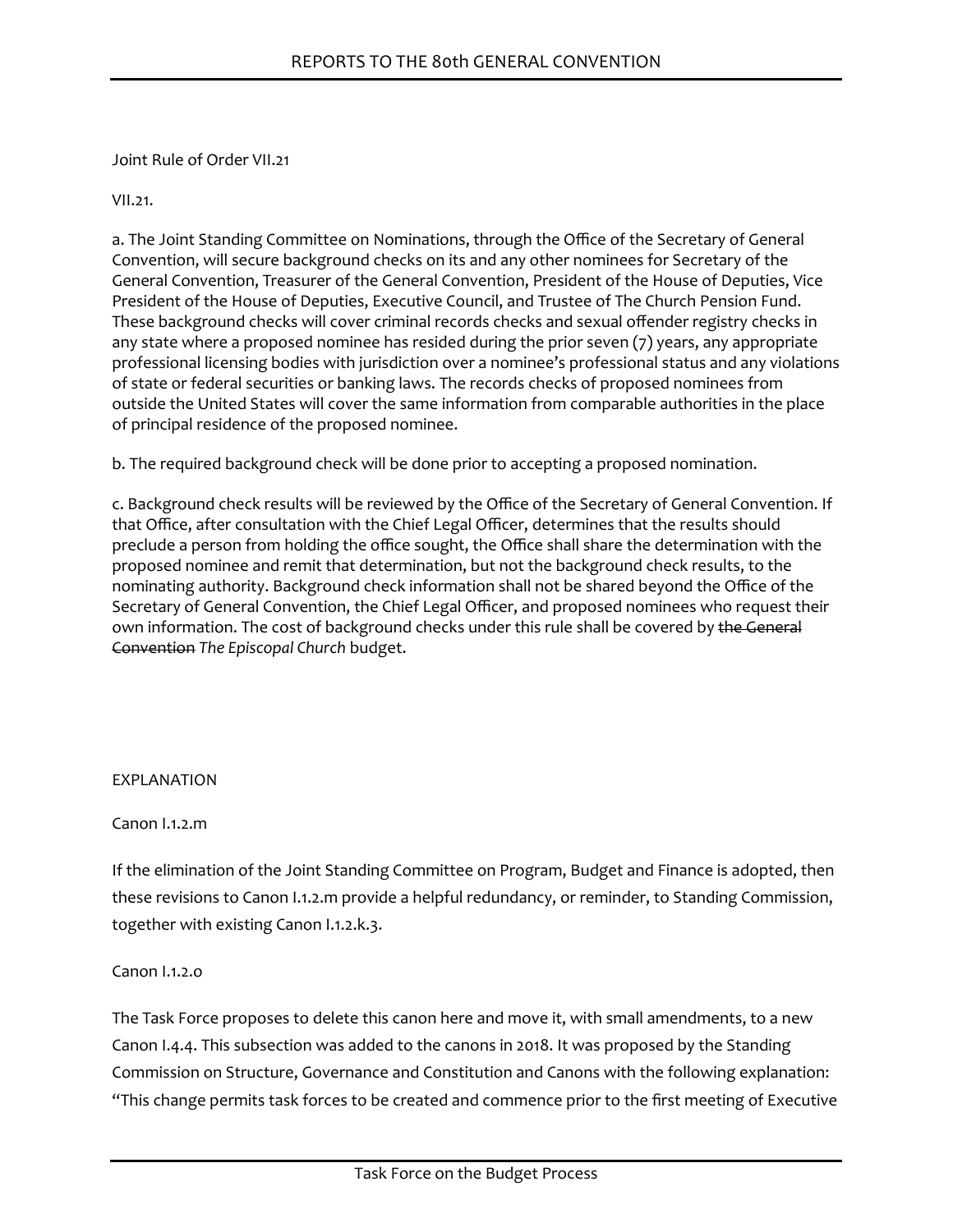Joint Rule of Order VII.21

VII.21.

a. The Joint Standing Committee on Nominations, through the Office of the Secretary of General Convention, will secure background checks on its and any other nominees for Secretary of the General Convention, Treasurer of the General Convention, President of the House of Deputies, Vice President of the House of Deputies, Executive Council, and Trustee of The Church Pension Fund. These background checks will cover criminal records checks and sexual offender registry checks in any state where a proposed nominee has resided during the prior seven (7) years, any appropriate professional licensing bodies with jurisdiction over a nominee's professional status and any violations of state or federal securities or banking laws. The records checks of proposed nominees from outside the United States will cover the same information from comparable authorities in the place of principal residence of the proposed nominee.

b. The required background check will be done prior to accepting a proposed nomination.

c. Background check results will be reviewed by the Office of the Secretary of General Convention. If that Office, after consultation with the Chief Legal Officer, determines that the results should preclude a person from holding the office sought, the Office shall share the determination with the proposed nominee and remit that determination, but not the background check results, to the nominating authority. Background check information shall not be shared beyond the Office of the Secretary of General Convention, the Chief Legal Officer, and proposed nominees who request their own information. The cost of background checks under this rule shall be covered by the General Convention *The Episcopal Church* budget.

## EXPLANATION

#### Canon I.1.2.m

If the elimination of the Joint Standing Committee on Program, Budget and Finance is adopted, then these revisions to Canon I.1.2.m provide a helpful redundancy, or reminder, to Standing Commission, together with existing Canon I.1.2.k.3.

#### Canon I.1.2.o

The Task Force proposes to delete this canon here and move it, with small amendments, to a new Canon I.4.4. This subsection was added to the canons in 2018. It was proposed by the Standing Commission on Structure, Governance and Constitution and Canons with the following explanation: "This change permits task forces to be created and commence prior to the first meeting of Executive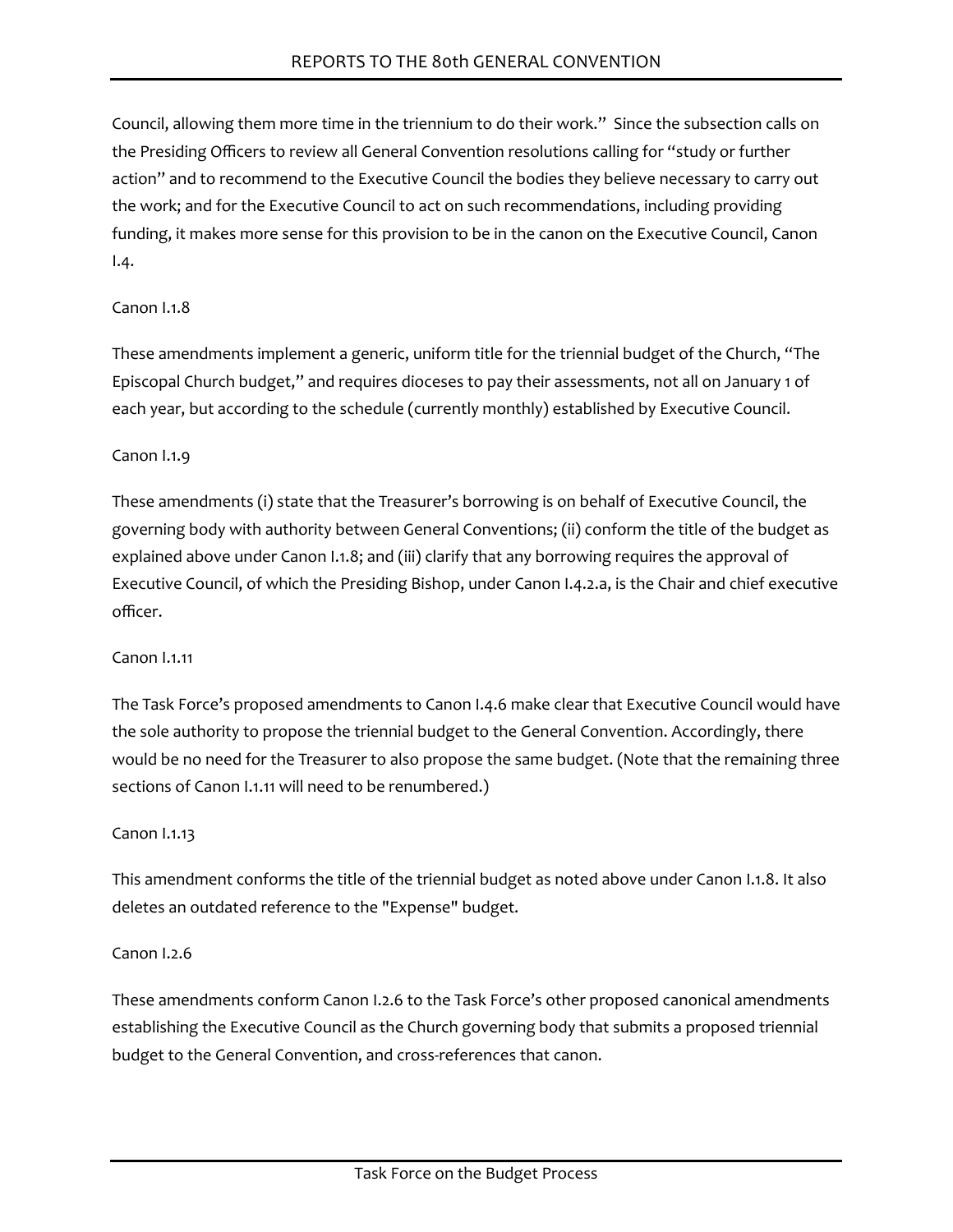Council, allowing them more time in the triennium to do their work." Since the subsection calls on the Presiding Officers to review all General Convention resolutions calling for "study or further action" and to recommend to the Executive Council the bodies they believe necessary to carry out the work; and for the Executive Council to act on such recommendations, including providing funding, it makes more sense for this provision to be in the canon on the Executive Council, Canon I.4.

## Canon I.1.8

These amendments implement a generic, uniform title for the triennial budget of the Church, "The Episcopal Church budget," and requires dioceses to pay their assessments, not all on January 1 of each year, but according to the schedule (currently monthly) established by Executive Council.

#### Canon I.1.9

These amendments (i) state that the Treasurer's borrowing is on behalf of Executive Council, the governing body with authority between General Conventions; (ii) conform the title of the budget as explained above under Canon I.1.8; and (iii) clarify that any borrowing requires the approval of Executive Council, of which the Presiding Bishop, under Canon I.4.2.a, is the Chair and chief executive officer.

#### Canon I.1.11

The Task Force's proposed amendments to Canon I.4.6 make clear that Executive Council would have the sole authority to propose the triennial budget to the General Convention. Accordingly, there would be no need for the Treasurer to also propose the same budget. (Note that the remaining three sections of Canon I.1.11 will need to be renumbered.)

## Canon I.1.13

This amendment conforms the title of the triennial budget as noted above under Canon I.1.8. It also deletes an outdated reference to the "Expense" budget.

#### Canon I.2.6

These amendments conform Canon I.2.6 to the Task Force's other proposed canonical amendments establishing the Executive Council as the Church governing body that submits a proposed triennial budget to the General Convention, and cross-references that canon.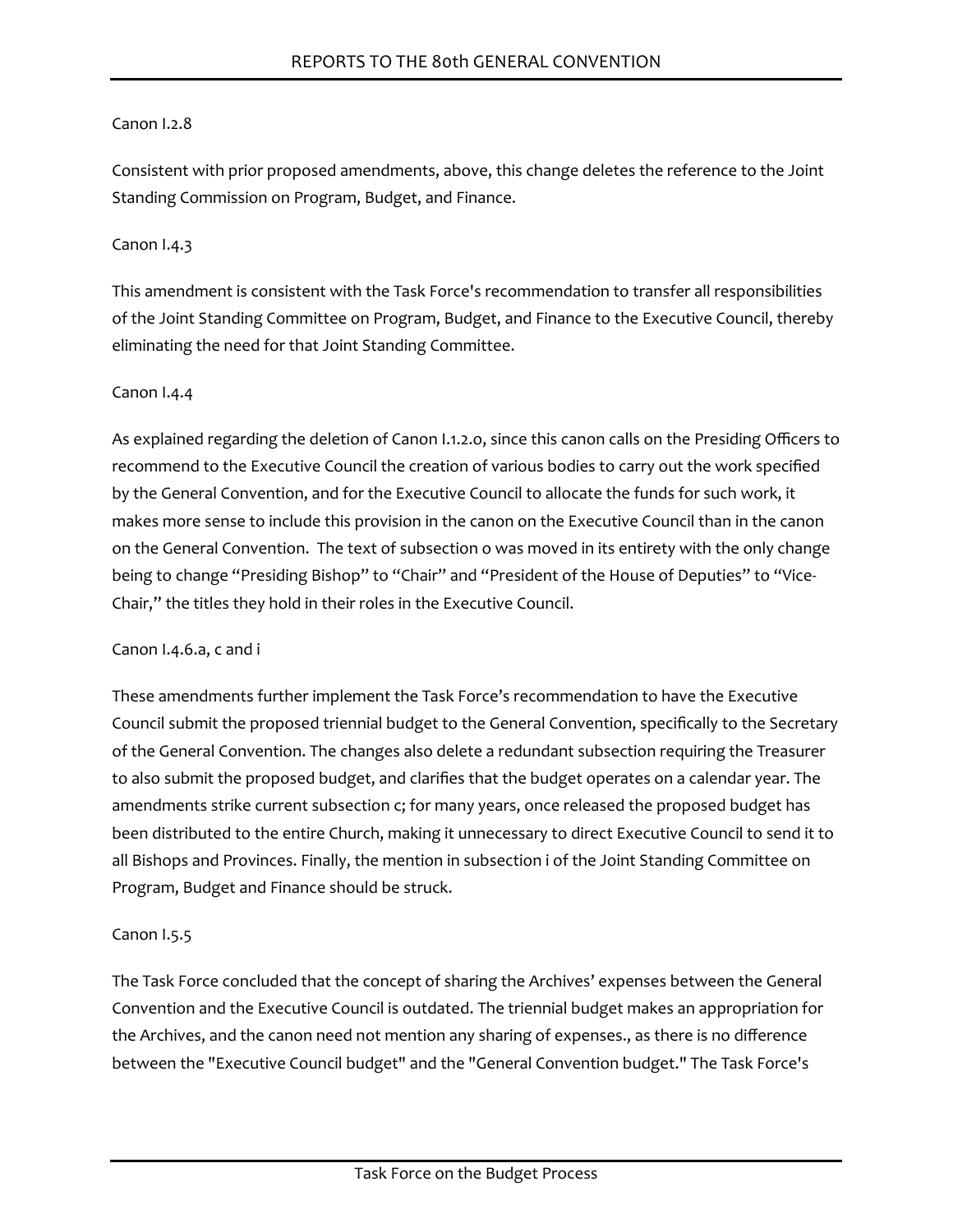## Canon I.2.8

Consistent with prior proposed amendments, above, this change deletes the reference to the Joint Standing Commission on Program, Budget, and Finance.

#### Canon I.4.3

This amendment is consistent with the Task Force's recommendation to transfer all responsibilities of the Joint Standing Committee on Program, Budget, and Finance to the Executive Council, thereby eliminating the need for that Joint Standing Committee.

#### Canon I.4.4

As explained regarding the deletion of Canon I.1.2.o, since this canon calls on the Presiding Officers to recommend to the Executive Council the creation of various bodies to carry out the work specified by the General Convention, and for the Executive Council to allocate the funds for such work, it makes more sense to include this provision in the canon on the Executive Council than in the canon on the General Convention. The text of subsection o was moved in its entirety with the only change being to change "Presiding Bishop" to "Chair" and "President of the House of Deputies" to "Vice-Chair," the titles they hold in their roles in the Executive Council.

#### Canon I.4.6.a, c and i

These amendments further implement the Task Force's recommendation to have the Executive Council submit the proposed triennial budget to the General Convention, specifically to the Secretary of the General Convention. The changes also delete a redundant subsection requiring the Treasurer to also submit the proposed budget, and clarifies that the budget operates on a calendar year. The amendments strike current subsection c; for many years, once released the proposed budget has been distributed to the entire Church, making it unnecessary to direct Executive Council to send it to all Bishops and Provinces. Finally, the mention in subsection i of the Joint Standing Committee on Program, Budget and Finance should be struck.

#### Canon I.5.5

The Task Force concluded that the concept of sharing the Archives' expenses between the General Convention and the Executive Council is outdated. The triennial budget makes an appropriation for the Archives, and the canon need not mention any sharing of expenses., as there is no difference between the "Executive Council budget" and the "General Convention budget." The Task Force's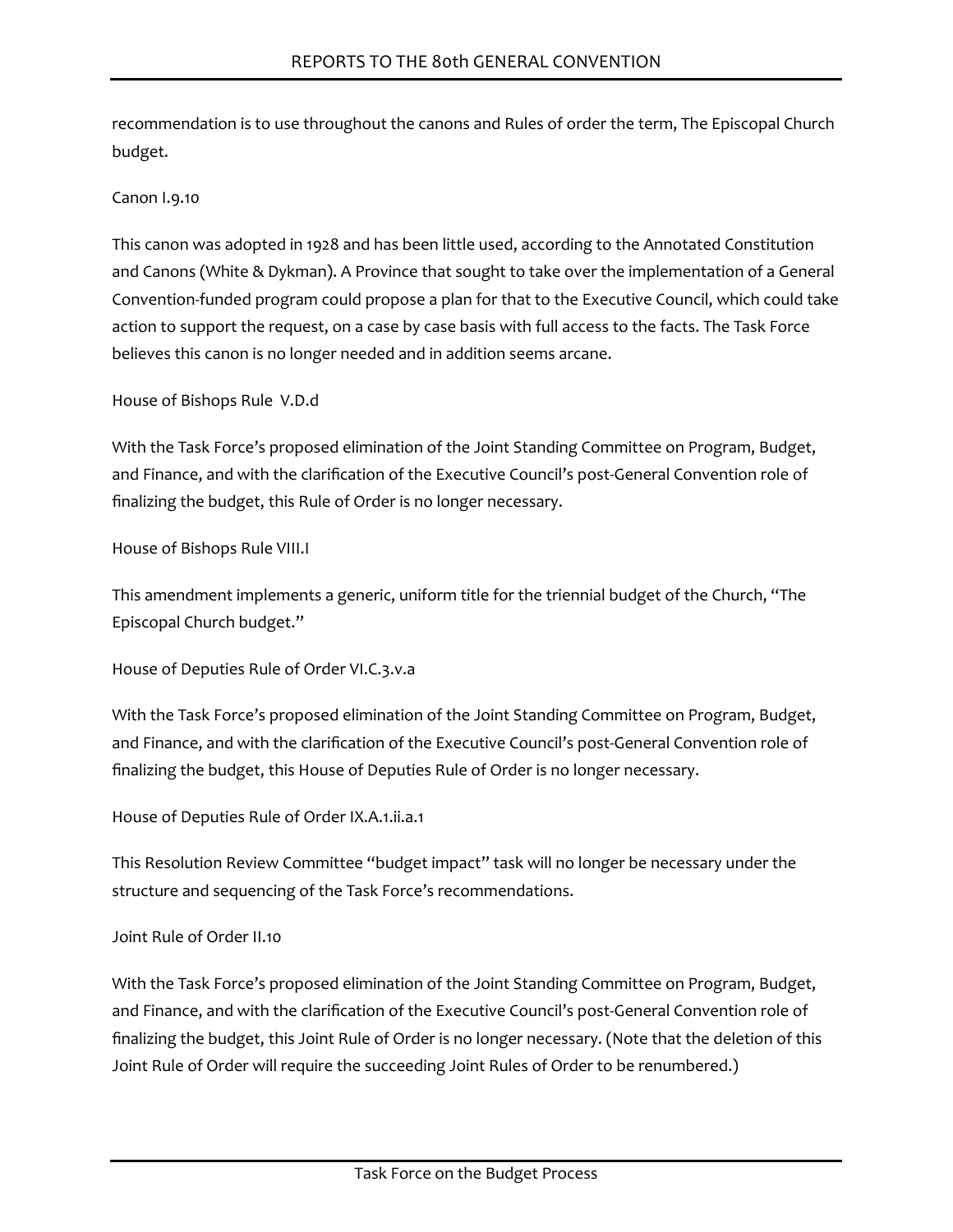recommendation is to use throughout the canons and Rules of order the term, The Episcopal Church budget.

### Canon I.9.10

This canon was adopted in 1928 and has been little used, according to the Annotated Constitution and Canons (White & Dykman). A Province that sought to take over the implementation of a General Convention-funded program could propose a plan for that to the Executive Council, which could take action to support the request, on a case by case basis with full access to the facts. The Task Force believes this canon is no longer needed and in addition seems arcane.

House of Bishops Rule V.D.d

With the Task Force's proposed elimination of the Joint Standing Committee on Program, Budget, and Finance, and with the clarification of the Executive Council's post-General Convention role of finalizing the budget, this Rule of Order is no longer necessary.

House of Bishops Rule VIII.I

This amendment implements a generic, uniform title for the triennial budget of the Church, "The Episcopal Church budget."

House of Deputies Rule of Order VI.C.3.v.a

With the Task Force's proposed elimination of the Joint Standing Committee on Program, Budget, and Finance, and with the clarification of the Executive Council's post-General Convention role of finalizing the budget, this House of Deputies Rule of Order is no longer necessary.

House of Deputies Rule of Order IX.A.1.ii.a.1

This Resolution Review Committee "budget impact" task will no longer be necessary under the structure and sequencing of the Task Force's recommendations.

## Joint Rule of Order II.10

With the Task Force's proposed elimination of the Joint Standing Committee on Program, Budget, and Finance, and with the clarification of the Executive Council's post-General Convention role of finalizing the budget, this Joint Rule of Order is no longer necessary. (Note that the deletion of this Joint Rule of Order will require the succeeding Joint Rules of Order to be renumbered.)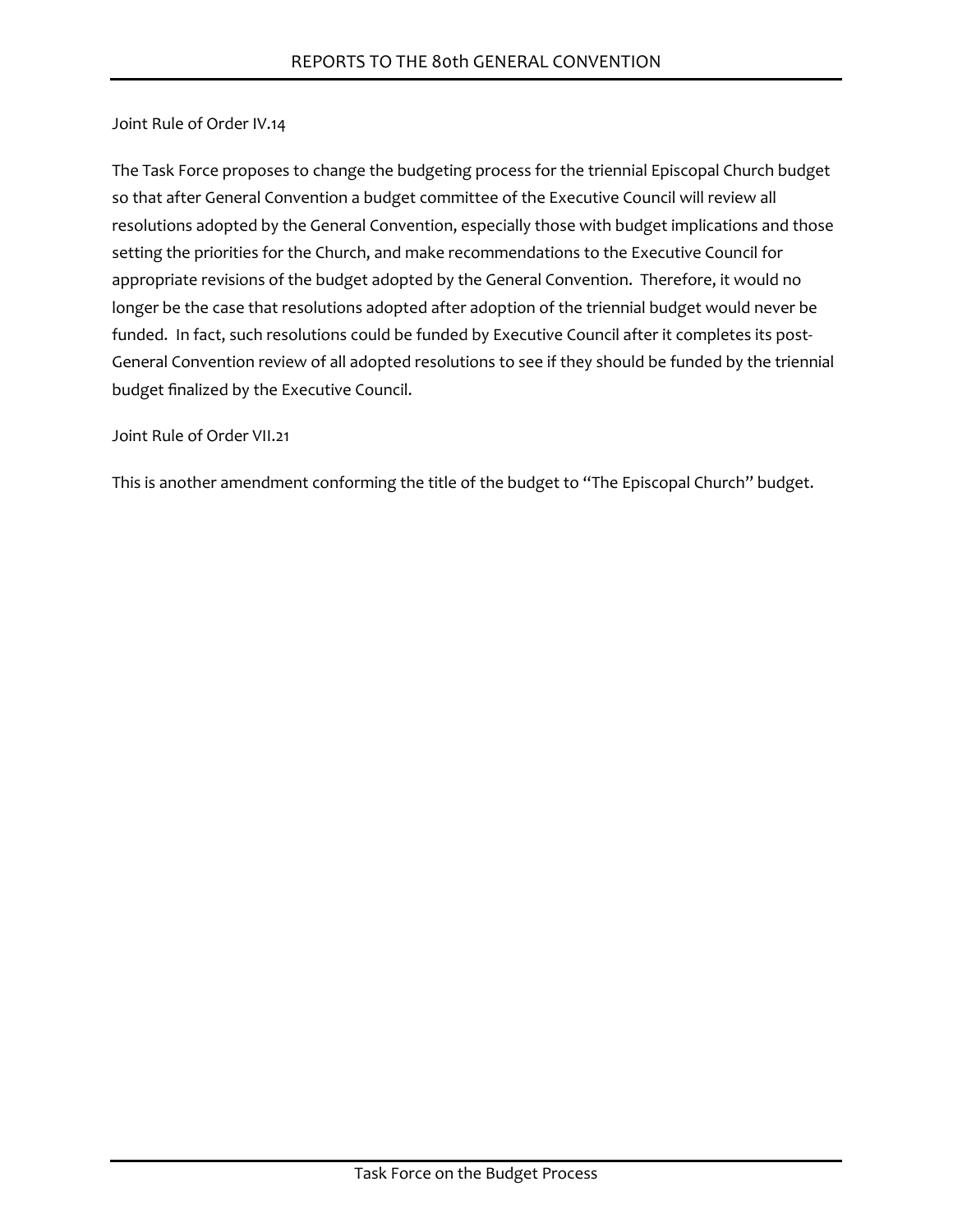## Joint Rule of Order IV.14

The Task Force proposes to change the budgeting process for the triennial Episcopal Church budget so that after General Convention a budget committee of the Executive Council will review all resolutions adopted by the General Convention, especially those with budget implications and those setting the priorities for the Church, and make recommendations to the Executive Council for appropriate revisions of the budget adopted by the General Convention. Therefore, it would no longer be the case that resolutions adopted after adoption of the triennial budget would never be funded. In fact, such resolutions could be funded by Executive Council after it completes its post-General Convention review of all adopted resolutions to see if they should be funded by the triennial budget finalized by the Executive Council.

#### Joint Rule of Order VII.21

This is another amendment conforming the title of the budget to "The Episcopal Church" budget.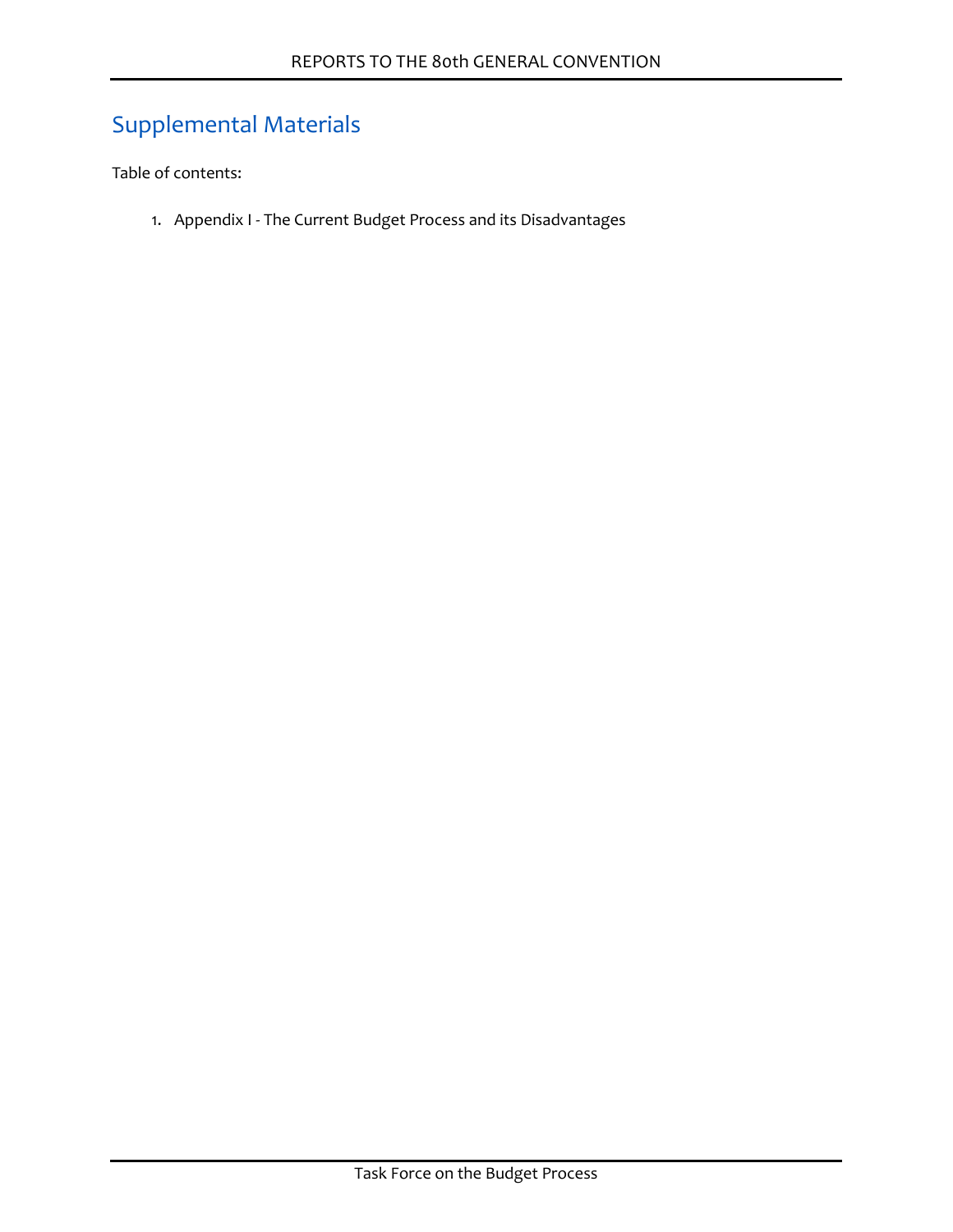## Supplemental Materials

Table of contents:

1. Appendix I - The Current Budget Process and its Disadvantages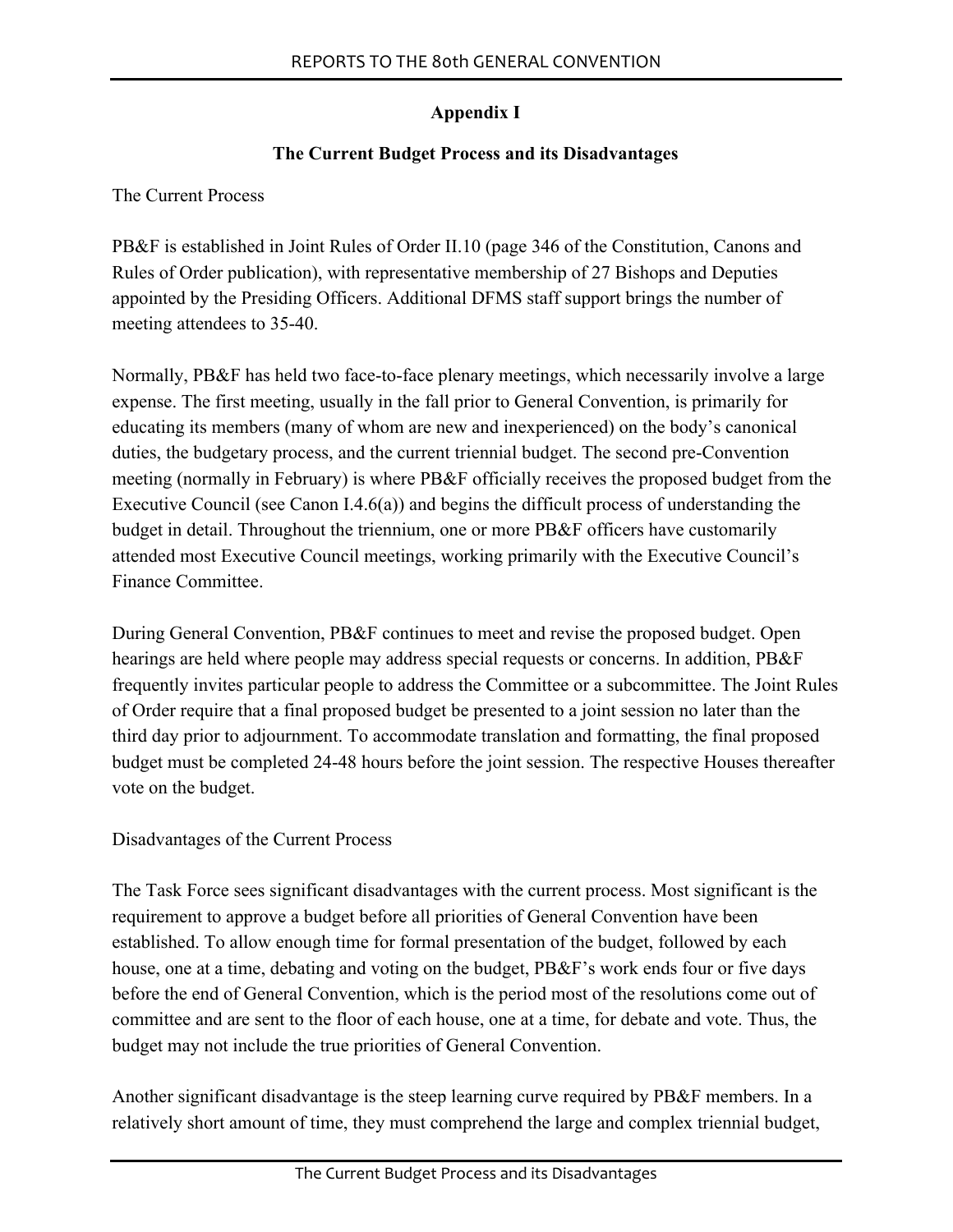## **Appendix I**

## **The Current Budget Process and its Disadvantages**

The Current Process

PB&F is established in Joint Rules of Order II.10 (page 346 of the Constitution, Canons and Rules of Order publication), with representative membership of 27 Bishops and Deputies appointed by the Presiding Officers. Additional DFMS staff support brings the number of meeting attendees to 35-40.

Normally, PB&F has held two face-to-face plenary meetings, which necessarily involve a large expense. The first meeting, usually in the fall prior to General Convention, is primarily for educating its members (many of whom are new and inexperienced) on the body's canonical duties, the budgetary process, and the current triennial budget. The second pre-Convention meeting (normally in February) is where PB&F officially receives the proposed budget from the Executive Council (see Canon I.4.6(a)) and begins the difficult process of understanding the budget in detail. Throughout the triennium, one or more PB&F officers have customarily attended most Executive Council meetings, working primarily with the Executive Council's Finance Committee.

During General Convention, PB&F continues to meet and revise the proposed budget. Open hearings are held where people may address special requests or concerns. In addition, PB&F frequently invites particular people to address the Committee or a subcommittee. The Joint Rules of Order require that a final proposed budget be presented to a joint session no later than the third day prior to adjournment. To accommodate translation and formatting, the final proposed budget must be completed 24-48 hours before the joint session. The respective Houses thereafter vote on the budget.

## Disadvantages of the Current Process

The Task Force sees significant disadvantages with the current process. Most significant is the requirement to approve a budget before all priorities of General Convention have been established. To allow enough time for formal presentation of the budget, followed by each house, one at a time, debating and voting on the budget, PB&F's work ends four or five days before the end of General Convention, which is the period most of the resolutions come out of committee and are sent to the floor of each house, one at a time, for debate and vote. Thus, the budget may not include the true priorities of General Convention.

Another significant disadvantage is the steep learning curve required by PB&F members. In a relatively short amount of time, they must comprehend the large and complex triennial budget,